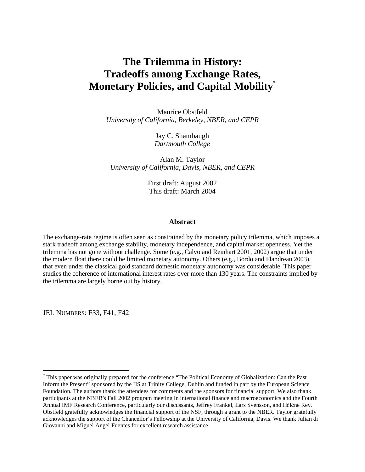# **The Trilemma in History: Tradeoffs among Exchange Rates, Monetary Policies, and Capital Mobility\***

Maurice Obstfeld *University of California, Berkeley, NBER, and CEPR*

> Jay C. Shambaugh *Dartmouth College*

Alan M. Taylor *University of California, Davis, NBER, and CEPR*

> First draft: August 2002 This draft: March 2004

#### **Abstract**

The exchange-rate regime is often seen as constrained by the monetary policy trilemma, which imposes a stark tradeoff among exchange stability, monetary independence, and capital market openness. Yet the trilemma has not gone without challenge. Some (e.g., Calvo and Reinhart 2001, 2002) argue that under the modern float there could be limited monetary autonomy. Others (e.g., Bordo and Flandreau 2003), that even under the classical gold standard domestic monetary autonomy was considerable. This paper studies the coherence of international interest rates over more than 130 years. The constraints implied by the trilemma are largely borne out by history.

JEL NUMBERS: F33, F41, F42

<sup>\*</sup> This paper was originally prepared for the conference "The Political Economy of Globalization: Can the Past Inform the Present" sponsored by the IIS at Trinity College, Dublin and funded in part by the European Science Foundation. The authors thank the attendees for comments and the sponsors for financial support. We also thank participants at the NBER's Fall 2002 program meeting in international finance and macroeconomics and the Fourth Annual IMF Research Conference, particularly our discussants, Jeffrey Frankel, Lars Svensson, and Hélène Rey. Obstfeld gratefully acknowledges the financial support of the NSF, through a grant to the NBER. Taylor gratefully acknowledges the support of the Chancellor's Fellowship at the University of California, Davis. We thank Julian di Giovanni and Miguel Angel Fuentes for excellent research assistance.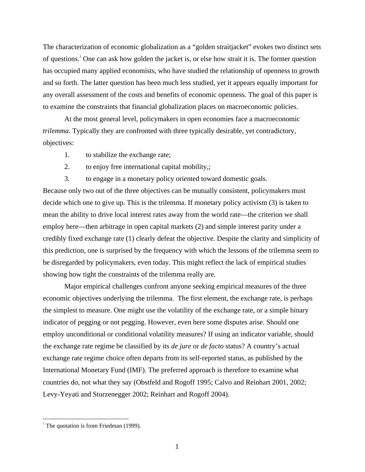The characterization of economic globalization as a "golden straitjacket" evokes two distinct sets of questions.<sup>1</sup> One can ask how golden the jacket is, or else how strait it is. The former question has occupied many applied economists, who have studied the relationship of openness to growth and so forth. The latter question has been much less studied, yet it appears equally important for any overall assessment of the costs and benefits of economic openness. The goal of this paper is to examine the constraints that financial globalization places on macroeconomic policies.

At the most general level, policymakers in open economies face a macroeconomic *trilemma*. Typically they are confronted with three typically desirable, yet contradictory, objectives:

- 1. to stabilize the exchange rate;
- 2. to enjoy free international capital mobility,;
- 3. to engage in a monetary policy oriented toward domestic goals.

Because only two out of the three objectives can be mutually consistent, policymakers must decide which one to give up. This is the trilemma. If monetary policy activism (3) is taken to mean the ability to drive local interest rates away from the world rate—the criterion we shall employ here—then arbitrage in open capital markets (2) and simple interest parity under a credibly fixed exchange rate (1) clearly defeat the objective. Despite the clarity and simplicity of this prediction, one is surprised by the frequency with which the lessons of the trilemma seem to be disregarded by policymakers, even today. This might reflect the lack of empirical studies showing how tight the constraints of the trilemma really are.

Major empirical challenges confront anyone seeking empirical measures of the three economic objectives underlying the trilemma. The first element, the exchange rate, is perhaps the simplest to measure. One might use the volatility of the exchange rate, or a simple binary indicator of pegging or not pegging. However, even here some disputes arise. Should one employ unconditional or conditional volatility measures? If using an indicator variable, should the exchange rate regime be classified by its *de jure* or *de facto* status? A country's actual exchange rate regime choice often departs from its self-reported status, as published by the International Monetary Fund (IMF). The preferred approach is therefore to examine what countries do, not what they say (Obstfeld and Rogoff 1995; Calvo and Reinhart 2001, 2002; Levy-Yeyati and Sturzenegger 2002; Reinhart and Rogoff 2004).

<sup>&</sup>lt;sup>1</sup> The quotation is from Friedman (1999).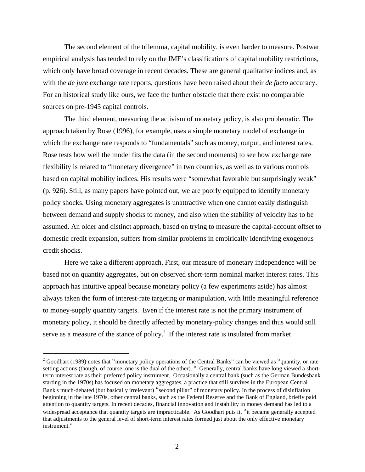The second element of the trilemma, capital mobility, is even harder to measure. Postwar empirical analysis has tended to rely on the IMF's classifications of capital mobility restrictions, which only have broad coverage in recent decades. These are general qualitative indices and, as with the *de jure* exchange rate reports, questions have been raised about their *de facto* accuracy. For an historical study like ours, we face the further obstacle that there exist no comparable sources on pre-1945 capital controls.

The third element, measuring the activism of monetary policy, is also problematic. The approach taken by Rose (1996), for example, uses a simple monetary model of exchange in which the exchange rate responds to "fundamentals" such as money, output, and interest rates. Rose tests how well the model fits the data (in the second moments) to see how exchange rate flexibility is related to "monetary divergence" in two countries, as well as to various controls based on capital mobility indices. His results were "somewhat favorable but surprisingly weak" (p. 926). Still, as many papers have pointed out, we are poorly equipped to identify monetary policy shocks. Using monetary aggregates is unattractive when one cannot easily distinguish between demand and supply shocks to money, and also when the stability of velocity has to be assumed. An older and distinct approach, based on trying to measure the capital-account offset to domestic credit expansion, suffers from similar problems in empirically identifying exogenous credit shocks.

Here we take a different approach. First, our measure of monetary independence will be based not on quantity aggregates, but on observed short-term nominal market interest rates. This approach has intuitive appeal because monetary policy (a few experiments aside) has almost always taken the form of interest-rate targeting or manipulation, with little meaningful reference to money-supply quantity targets. Even if the interest rate is not the primary instrument of monetary policy, it should be directly affected by monetary-policy changes and thus would still serve as a measure of the stance of policy. $^2$  If the interest rate is insulated from market

 $2^2$  Goodhart (1989) notes that "monetary policy operations of the Central Banks" can be viewed as "quantity, or rate setting actions (though, of course, one is the dual of the other). " Generally, central banks have long viewed a shortterm interest rate as their preferred policy instrument. Occasionally a central bank (such as the German Bundesbank starting in the 1970s) has focused on monetary aggregates, a practice that still survives in the European Central Bank's much-debated (but basically irrelevant) "second pillar" of monetary policy. In the process of disinflation beginning in the late 1970s, other central banks, such as the Federal Reserve and the Bank of England, briefly paid attention to quantity targets. In recent decades, financial innovation and instability in money demand has led to a widespread acceptance that quantity targets are impracticable. As Goodhart puts it, "it became generally accepted that adjustments to the general level of short-term interest rates formed just about the only effective monetary instrument."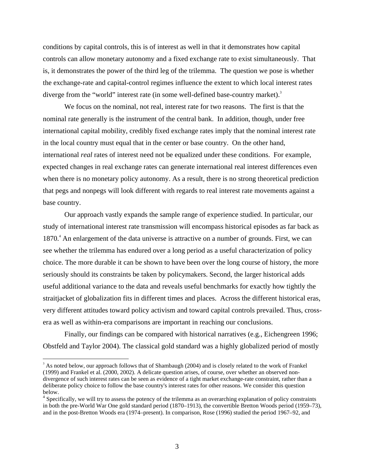conditions by capital controls, this is of interest as well in that it demonstrates how capital controls can allow monetary autonomy and a fixed exchange rate to exist simultaneously. That is, it demonstrates the power of the third leg of the trilemma. The question we pose is whether the exchange-rate and capital-control regimes influence the extent to which local interest rates diverge from the "world" interest rate (in some well-defined base-country market).<sup>3</sup>

We focus on the nominal, not real, interest rate for two reasons. The first is that the nominal rate generally is the instrument of the central bank. In addition, though, under free international capital mobility, credibly fixed exchange rates imply that the nominal interest rate in the local country must equal that in the center or base country. On the other hand, international *real* rates of interest need not be equalized under these conditions. For example, expected changes in real exchange rates can generate international real interest differences even when there is no monetary policy autonomy. As a result, there is no strong theoretical prediction that pegs and nonpegs will look different with regards to real interest rate movements against a base country.

Our approach vastly expands the sample range of experience studied. In particular, our study of international interest rate transmission will encompass historical episodes as far back as 1870.<sup>4</sup> An enlargement of the data universe is attractive on a number of grounds. First, we can see whether the trilemma has endured over a long period as a useful characterization of policy choice. The more durable it can be shown to have been over the long course of history, the more seriously should its constraints be taken by policymakers. Second, the larger historical adds useful additional variance to the data and reveals useful benchmarks for exactly how tightly the straitjacket of globalization fits in different times and places. Across the different historical eras, very different attitudes toward policy activism and toward capital controls prevailed. Thus, crossera as well as within-era comparisons are important in reaching our conclusions.

Finally, our findings can be compared with historical narratives (e.g., Eichengreen 1996; Obstfeld and Taylor 2004). The classical gold standard was a highly globalized period of mostly

<sup>&</sup>lt;sup>3</sup> As noted below, our approach follows that of Shambaugh (2004) and is closely related to the work of Frankel (1999) and Frankel et al. (2000, 2002). A delicate question arises, of course, over whether an observed nondivergence of such interest rates can be seen as evidence of a tight market exchange-rate constraint, rather than a deliberate policy choice to follow the base country's interest rates for other reasons. We consider this question below.

<sup>&</sup>lt;sup>4</sup> Specifically, we will try to assess the potency of the trilemma as an overarching explanation of policy constraints in both the pre-World War One gold standard period (1870–1913), the convertible Bretton Woods period (1959–73), and in the post-Bretton Woods era (1974–present). In comparison, Rose (1996) studied the period 1967–92, and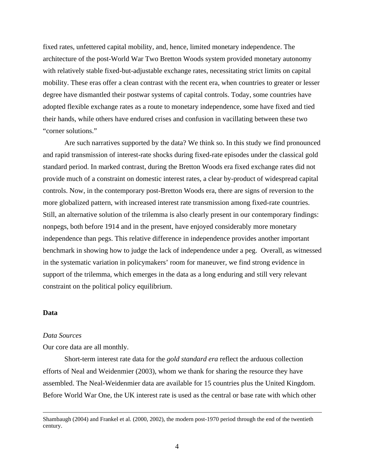fixed rates, unfettered capital mobility, and, hence, limited monetary independence. The architecture of the post-World War Two Bretton Woods system provided monetary autonomy with relatively stable fixed-but-adjustable exchange rates, necessitating strict limits on capital mobility. These eras offer a clean contrast with the recent era, when countries to greater or lesser degree have dismantled their postwar systems of capital controls. Today, some countries have adopted flexible exchange rates as a route to monetary independence, some have fixed and tied their hands, while others have endured crises and confusion in vacillating between these two "corner solutions."

Are such narratives supported by the data? We think so. In this study we find pronounced and rapid transmission of interest-rate shocks during fixed-rate episodes under the classical gold standard period. In marked contrast, during the Bretton Woods era fixed exchange rates did not provide much of a constraint on domestic interest rates, a clear by-product of widespread capital controls. Now, in the contemporary post-Bretton Woods era, there are signs of reversion to the more globalized pattern, with increased interest rate transmission among fixed-rate countries. Still, an alternative solution of the trilemma is also clearly present in our contemporary findings: nonpegs, both before 1914 and in the present, have enjoyed considerably more monetary independence than pegs. This relative difference in independence provides another important benchmark in showing how to judge the lack of independence under a peg. Overall, as witnessed in the systematic variation in policymakers' room for maneuver, we find strong evidence in support of the trilemma, which emerges in the data as a long enduring and still very relevant constraint on the political policy equilibrium.

## **Data**

## *Data Sources*

Our core data are all monthly.

Short-term interest rate data for the *gold standard era* reflect the arduous collection efforts of Neal and Weidenmier (2003), whom we thank for sharing the resource they have assembled. The Neal-Weidenmier data are available for 15 countries plus the United Kingdom. Before World War One, the UK interest rate is used as the central or base rate with which other

Shambaugh (2004) and Frankel et al. (2000, 2002), the modern post-1970 period through the end of the twentieth century.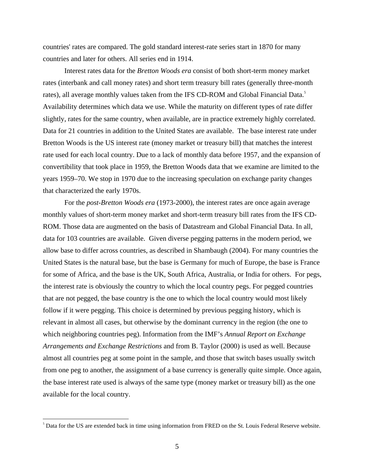countries' rates are compared. The gold standard interest-rate series start in 1870 for many countries and later for others. All series end in 1914.

Interest rates data for the *Bretton Woods era* consist of both short-term money market rates (interbank and call money rates) and short term treasury bill rates (generally three-month rates), all average monthly values taken from the IFS CD-ROM and Global Financial Data.<sup>5</sup> Availability determines which data we use. While the maturity on different types of rate differ slightly, rates for the same country, when available, are in practice extremely highly correlated. Data for 21 countries in addition to the United States are available. The base interest rate under Bretton Woods is the US interest rate (money market or treasury bill) that matches the interest rate used for each local country. Due to a lack of monthly data before 1957, and the expansion of convertibility that took place in 1959, the Bretton Woods data that we examine are limited to the years 1959–70. We stop in 1970 due to the increasing speculation on exchange parity changes that characterized the early 1970s.

For the *post-Bretton Woods era* (1973-2000), the interest rates are once again average monthly values of short-term money market and short-term treasury bill rates from the IFS CD-ROM. Those data are augmented on the basis of Datastream and Global Financial Data. In all, data for 103 countries are available. Given diverse pegging patterns in the modern period, we allow base to differ across countries, as described in Shambaugh (2004). For many countries the United States is the natural base, but the base is Germany for much of Europe, the base is France for some of Africa, and the base is the UK, South Africa, Australia, or India for others. For pegs, the interest rate is obviously the country to which the local country pegs. For pegged countries that are not pegged, the base country is the one to which the local country would most likely follow if it were pegging. This choice is determined by previous pegging history, which is relevant in almost all cases, but otherwise by the dominant currency in the region (the one to which neighboring countries peg). Information from the IMF's *Annual Report on Exchange Arrangements and Exchange Restrictions* and from B. Taylor (2000) is used as well. Because almost all countries peg at some point in the sample, and those that switch bases usually switch from one peg to another, the assignment of a base currency is generally quite simple. Once again, the base interest rate used is always of the same type (money market or treasury bill) as the one available for the local country.

<sup>&</sup>lt;sup>5</sup> Data for the US are extended back in time using information from FRED on the St. Louis Federal Reserve website.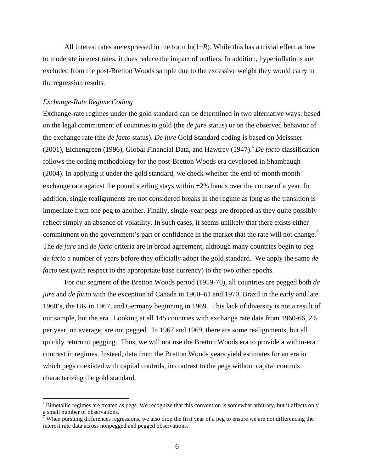All interest rates are expressed in the form  $\ln(1+R)$ . While this has a trivial effect at low to moderate interest rates, it does reduce the impact of outliers. In addition, hyperinflations are excluded from the post-Bretton Woods sample due to the excessive weight they would carry in the regression results.

### *Exchange-Rate Regime Coding*

 $\overline{a}$ 

Exchange-rate regimes under the gold standard can be determined in two alternative ways: based on the legal commitment of countries to gold (the *de jure* status) or on the observed behavior of the exchange rate (the *de facto* status). *De jure* Gold Standard coding is based on Meissner (2001), Eichengreen (1996), Global Financial Data, and Hawtrey (1947).<sup>6</sup> *De facto* classification follows the coding methodology for the post-Bretton Woods era developed in Shambaugh (2004). In applying it under the gold standard, we check whether the end-of-month month exchange rate against the pound sterling stays within  $\pm 2\%$  bands over the course of a year. In addition, single realignments are not considered breaks in the regime as long as the transition is immediate from one peg to another. Finally, single-year pegs are dropped as they quite possibly reflect simply an absence of volatility. In such cases, it seems unlikely that there exists either commitment on the government's part or confidence in the market that the rate will not change.<sup>7</sup> The *de jure* and *de facto* criteria are in broad agreement, although many countries begin to peg *de facto* a number of years before they officially adopt the gold standard. We apply the same *de facto* test (with respect to the appropriate base currency) to the two other epochs.

For our segment of the Bretton Woods period (1959-70), all countries are pegged both *de jure* and *de facto* with the exception of Canada in 1960–61 and 1970, Brazil in the early and late 1960's, the UK in 1967, and Germany beginning in 1969. This lack of diversity is not a result of our sample, but the era. Looking at all 145 countries with exchange rate data from 1960-66, 2.5 per year, on average, are not pegged. In 1967 and 1969, there are some realignments, but all quickly return to pegging. Thus, we will not use the Bretton Woods era to provide a within-era contrast in regimes. Instead, data from the Bretton Woods years yield estimates for an era in which pegs coexisted with capital controls, in contrast to the pegs without capital controls characterizing the gold standard.

<sup>&</sup>lt;sup>6</sup> Bimetallic regimes are treated as pegs. We recognize that this convention is somewhat arbitrary, but it affects only a small number of observations.<br><sup>7</sup> When pursuing differences regressions, we also drop the first year of a peg to ensure we are not differencing the

interest rate data across nonpegged and pegged observations.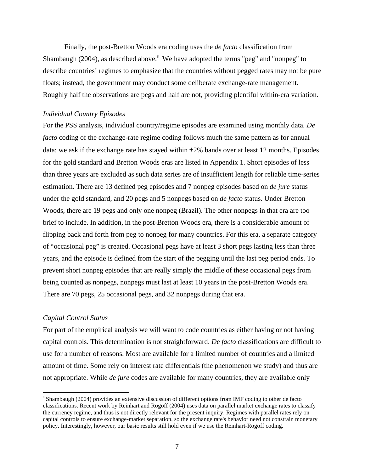Finally, the post-Bretton Woods era coding uses the *de facto* classification from Shambaugh (2004), as described above.<sup>8</sup> We have adopted the terms "peg" and "nonpeg" to describe countries' regimes to emphasize that the countries without pegged rates may not be pure floats; instead, the government may conduct some deliberate exchange-rate management. Roughly half the observations are pegs and half are not, providing plentiful within-era variation.

#### *Individual Country Episodes*

For the PSS analysis, individual country/regime episodes are examined using monthly data*. De facto* coding of the exchange-rate regime coding follows much the same pattern as for annual data: we ask if the exchange rate has stayed within ±2% bands over at least 12 months. Episodes for the gold standard and Bretton Woods eras are listed in Appendix 1. Short episodes of less than three years are excluded as such data series are of insufficient length for reliable time-series estimation. There are 13 defined peg episodes and 7 nonpeg episodes based on *de jure* status under the gold standard, and 20 pegs and 5 nonpegs based on *de facto* status. Under Bretton Woods, there are 19 pegs and only one nonpeg (Brazil). The other nonpegs in that era are too brief to include. In addition, in the post-Bretton Woods era, there is a considerable amount of flipping back and forth from peg to nonpeg for many countries. For this era, a separate category of "occasional peg" is created. Occasional pegs have at least 3 short pegs lasting less than three years, and the episode is defined from the start of the pegging until the last peg period ends. To prevent short nonpeg episodes that are really simply the middle of these occasional pegs from being counted as nonpegs, nonpegs must last at least 10 years in the post-Bretton Woods era. There are 70 pegs, 25 occasional pegs, and 32 nonpegs during that era.

## *Capital Control Status*

 $\overline{a}$ 

For part of the empirical analysis we will want to code countries as either having or not having capital controls. This determination is not straightforward. *De facto* classifications are difficult to use for a number of reasons. Most are available for a limited number of countries and a limited amount of time. Some rely on interest rate differentials (the phenomenon we study) and thus are not appropriate. While *de jure* codes are available for many countries, they are available only

<sup>&</sup>lt;sup>8</sup> Shambaugh (2004) provides an extensive discussion of different options from IMF coding to other de facto classifications. Recent work by Reinhart and Rogoff (2004) uses data on parallel market exchange rates to classify the currency regime, and thus is not directly relevant for the present inquiry. Regimes with parallel rates rely on capital controls to ensure exchange-market separation, so the exchange rate's behavior need not constrain monetary policy. Interestingly, however, our basic results still hold even if we use the Reinhart-Rogoff coding.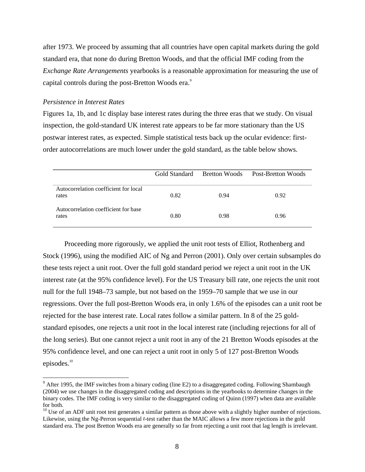after 1973. We proceed by assuming that all countries have open capital markets during the gold standard era, that none do during Bretton Woods, and that the official IMF coding from the *Exchange Rate Arrangements* yearbooks is a reasonable approximation for measuring the use of capital controls during the post-Bretton Woods era.<sup>9</sup>

### *Persistence in Interest Rates*

 $\overline{a}$ 

Figures 1a, 1b, and 1c display base interest rates during the three eras that we study. On visual inspection, the gold-standard UK interest rate appears to be far more stationary than the US postwar interest rates, as expected. Simple statistical tests back up the ocular evidence: firstorder autocorrelations are much lower under the gold standard, as the table below shows.

|                                                | Gold Standard | Bretton Woods | Post-Bretton Woods |
|------------------------------------------------|---------------|---------------|--------------------|
| Autocorrelation coefficient for local<br>rates | 0.82          | 0.94          | 0.92               |
| Autocorrelation coefficient for base<br>rates  | 0.80          | 0.98          | 0.96               |

Proceeding more rigorously, we applied the unit root tests of Elliot, Rothenberg and Stock (1996), using the modified AIC of Ng and Perron (2001). Only over certain subsamples do these tests reject a unit root. Over the full gold standard period we reject a unit root in the UK interest rate (at the 95% confidence level). For the US Treasury bill rate, one rejects the unit root null for the full 1948–73 sample, but not based on the 1959–70 sample that we use in our regressions. Over the full post-Bretton Woods era, in only 1.6% of the episodes can a unit root be rejected for the base interest rate. Local rates follow a similar pattern. In 8 of the 25 goldstandard episodes, one rejects a unit root in the local interest rate (including rejections for all of the long series). But one cannot reject a unit root in any of the 21 Bretton Woods episodes at the 95% confidence level, and one can reject a unit root in only 5 of 127 post-Bretton Woods episodes. $10$ 

 $9$  After 1995, the IMF switches from a binary coding (line E2) to a disaggregated coding. Following Shambaugh (2004) we use changes in the disaggregated coding and descriptions in the yearbooks to determine changes in the binary codes. The IMF coding is very similar to the disaggregated coding of Quinn (1997) when data are available for both.

 $10$  Use of an ADF unit root test generates a similar pattern as those above with a slightly higher number of rejections. Likewise, using the Ng-Perron sequential *t*-test rather than the MAIC allows a few more rejections in the gold standard era. The post Bretton Woods era are generally so far from rejecting a unit root that lag length is irrelevant.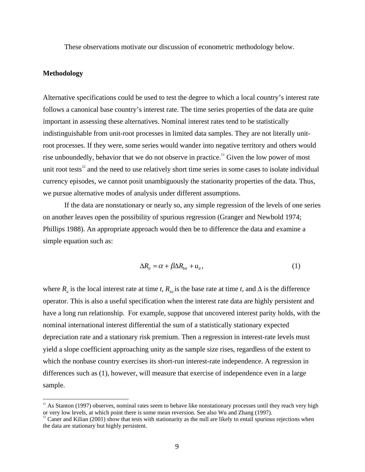These observations motivate our discussion of econometric methodology below.

## **Methodology**

 $\overline{a}$ 

Alternative specifications could be used to test the degree to which a local country's interest rate follows a canonical base country's interest rate. The time series properties of the data are quite important in assessing these alternatives. Nominal interest rates tend to be statistically indistinguishable from unit-root processes in limited data samples. They are not literally unitroot processes. If they were, some series would wander into negative territory and others would rise unboundedly, behavior that we do not observe in practice.<sup>11</sup> Given the low power of most unit root tests<sup>12</sup> and the need to use relatively short time series in some cases to isolate individual currency episodes, we cannot posit unambiguously the stationarity properties of the data. Thus, we pursue alternative modes of analysis under different assumptions.

If the data are nonstationary or nearly so, any simple regression of the levels of one series on another leaves open the possibility of spurious regression (Granger and Newbold 1974; Phillips 1988). An appropriate approach would then be to difference the data and examine a simple equation such as:

$$
\Delta R_{it} = \alpha + \beta \Delta R_{bit} + u_{it},\tag{1}
$$

where  $R_i$  is the local interest rate at time *t*,  $R_{bi}$  is the base rate at time *t*, and  $\Delta$  is the difference operator. This is also a useful specification when the interest rate data are highly persistent and have a long run relationship. For example, suppose that uncovered interest parity holds, with the nominal international interest differential the sum of a statistically stationary expected depreciation rate and a stationary risk premium. Then a regression in interest-rate levels must yield a slope coefficient approaching unity as the sample size rises, regardless of the extent to which the nonbase country exercises its short-run interest-rate independence. A regression in differences such as (1), however, will measure that exercise of independence even in a large sample.

 $<sup>11</sup>$  As Stanton (1997) observes, nominal rates seem to behave like nonstationary processes until they reach very high</sup> or very low levels, at which point there is some mean reversion. See also Wu and Zhang (1997).

 $12$  Caner and Kilian (2001) show that tests with stationarity as the null are likely to entail spurious rejections when the data are stationary but highly persistent.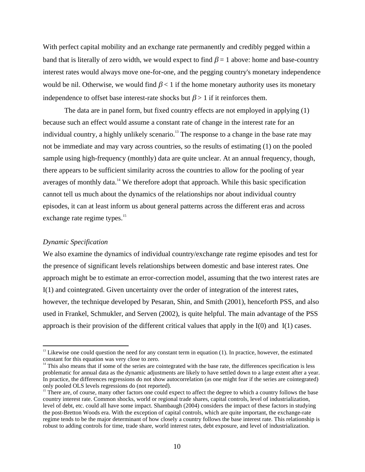With perfect capital mobility and an exchange rate permanently and credibly pegged within a band that is literally of zero width, we would expect to find  $\beta = 1$  above: home and base-country interest rates would always move one-for-one, and the pegging country's monetary independence would be nil. Otherwise, we would find  $\beta$  < 1 if the home monetary authority uses its monetary independence to offset base interest-rate shocks but  $\beta$  > 1 if it reinforces them.

The data are in panel form, but fixed country effects are not employed in applying (1) because such an effect would assume a constant rate of change in the interest rate for an individual country, a highly unlikely scenario.<sup>13</sup> The response to a change in the base rate may not be immediate and may vary across countries, so the results of estimating (1) on the pooled sample using high-frequency (monthly) data are quite unclear. At an annual frequency, though, there appears to be sufficient similarity across the countries to allow for the pooling of year averages of monthly data.<sup>14</sup> We therefore adopt that approach. While this basic specification cannot tell us much about the dynamics of the relationships nor about individual country episodes, it can at least inform us about general patterns across the different eras and across exchange rate regime types.<sup>15</sup>

#### *Dynamic Specification*

 $\overline{a}$ 

We also examine the dynamics of individual country/exchange rate regime episodes and test for the presence of significant levels relationships between domestic and base interest rates. One approach might be to estimate an error-correction model, assuming that the two interest rates are I(1) and cointegrated. Given uncertainty over the order of integration of the interest rates, however, the technique developed by Pesaran, Shin, and Smith (2001), henceforth PSS, and also used in Frankel, Schmukler, and Serven (2002), is quite helpful. The main advantage of the PSS approach is their provision of the different critical values that apply in the I(0) and I(1) cases.

 $13$  Likewise one could question the need for any constant term in equation (1). In practice, however, the estimated constant for this equation was very close to zero.

 $14$  This also means that if some of the series are cointegrated with the base rate, the differences specification is less problematic for annual data as the dynamic adjustments are likely to have settled down to a large extent after a year. In practice, the differences regressions do not show autocorrelation (as one might fear if the series are cointegrated) only pooled OLS levels regressions do (not reported).

<sup>&</sup>lt;sup>15</sup> There are, of course, many other factors one could expect to affect the degree to which a country follows the base country interest rate. Common shocks, world or regional trade shares, capital controls, level of industrialization, level of debt, etc. could all have some impact. Shambaugh (2004) considers the impact of these factors in studying the post-Bretton Woods era. With the exception of capital controls, which are quite important, the exchange-rate regime tends to be the major determinant of how closely a country follows the base interest rate. This relationship is robust to adding controls for time, trade share, world interest rates, debt exposure, and level of industrialization.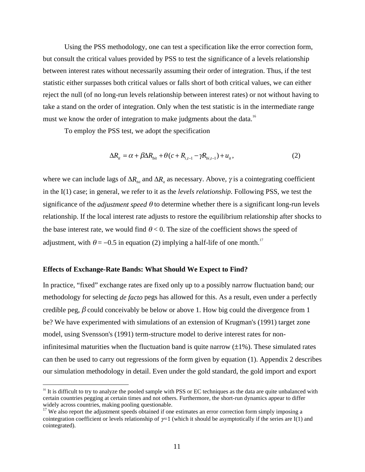Using the PSS methodology, one can test a specification like the error correction form, but consult the critical values provided by PSS to test the significance of a levels relationship between interest rates without necessarily assuming their order of integration. Thus, if the test statistic either surpasses both critical values or falls short of both critical values, we can either reject the null (of no long-run levels relationship between interest rates) or not without having to take a stand on the order of integration. Only when the test statistic is in the intermediate range must we know the order of integration to make judgments about the data.<sup>16</sup>

To employ the PSS test, we adopt the specification

$$
\Delta R_{it} = \alpha + \beta \Delta R_{bit} + \theta (c + R_{i,t-1} - \gamma R_{bi,t-1}) + u_{it},
$$
\n(2)

where we can include lags of ∆*R<sub>hit</sub>* and ∆*R<sub>it</sub>* as necessary. Above, γ is a cointegrating coefficient in the I(1) case; in general, we refer to it as the *levels relationship*. Following PSS, we test the significance of the *adjustment speed*  $\theta$  to determine whether there is a significant long-run levels relationship. If the local interest rate adjusts to restore the equilibrium relationship after shocks to the base interest rate, we would find  $\theta < 0$ . The size of the coefficient shows the speed of adjustment, with  $\theta = -0.5$  in equation (2) implying a half-life of one month.<sup>17</sup>

### **Effects of Exchange-Rate Bands: What Should We Expect to Find?**

 $\overline{a}$ 

In practice, "fixed" exchange rates are fixed only up to a possibly narrow fluctuation band; our methodology for selecting *de facto* pegs has allowed for this. As a result, even under a perfectly credible peg,  $\beta$  could conceivably be below or above 1. How big could the divergence from 1 be? We have experimented with simulations of an extension of Krugman's (1991) target zone model, using Svensson's (1991) term-structure model to derive interest rates for noninfinitesimal maturities when the fluctuation band is quite narrow  $(\pm 1\%)$ . These simulated rates can then be used to carry out regressions of the form given by equation (1). Appendix 2 describes our simulation methodology in detail. Even under the gold standard, the gold import and export

 $16$  It is difficult to try to analyze the pooled sample with PSS or EC techniques as the data are quite unbalanced with certain countries pegging at certain times and not others. Furthermore, the short-run dynamics appear to differ widely across countries, making pooling questionable.

<sup>&</sup>lt;sup>17</sup> We also report the adjustment speeds obtained if one estimates an error correction form simply imposing a cointegration coefficient or levels relationship of  $\gamma=1$  (which it should be asymptotically if the series are I(1) and cointegrated).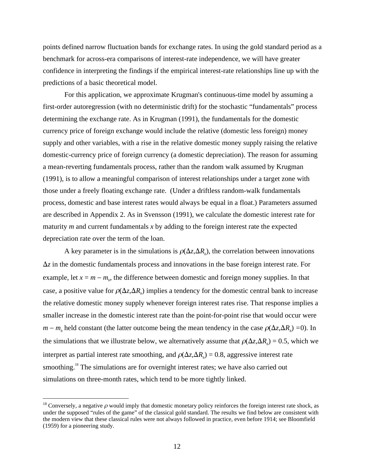points defined narrow fluctuation bands for exchange rates. In using the gold standard period as a benchmark for across-era comparisons of interest-rate independence, we will have greater confidence in interpreting the findings if the empirical interest-rate relationships line up with the predictions of a basic theoretical model.

For this application, we approximate Krugman's continuous-time model by assuming a first-order autoregression (with no deterministic drift) for the stochastic "fundamentals" process determining the exchange rate. As in Krugman (1991), the fundamentals for the domestic currency price of foreign exchange would include the relative (domestic less foreign) money supply and other variables, with a rise in the relative domestic money supply raising the relative domestic-currency price of foreign currency (a domestic depreciation). The reason for assuming a mean-reverting fundamentals process, rather than the random walk assumed by Krugman (1991), is to allow a meaningful comparison of interest relationships under a target zone with those under a freely floating exchange rate. (Under a driftless random-walk fundamentals process, domestic and base interest rates would always be equal in a float.) Parameters assumed are described in Appendix 2. As in Svensson (1991), we calculate the domestic interest rate for maturity *m* and current fundamentals *x* by adding to the foreign interest rate the expected depreciation rate over the term of the loan.

A key parameter is in the simulations is  $\rho(\Delta z, \Delta R_k)$ , the correlation between innovations  $\Delta z$  in the domestic fundamentals process and innovations in the base foreign interest rate. For example, let  $x = m - m_b$ , the difference between domestic and foreign money supplies. In that case, a positive value for  $\rho(\Delta z, \Delta R_b)$  implies a tendency for the domestic central bank to increase the relative domestic money supply whenever foreign interest rates rise. That response implies a smaller increase in the domestic interest rate than the point-for-point rise that would occur were  $m - m_b$  held constant (the latter outcome being the mean tendency in the case  $\rho(\Delta z, \Delta R_b) = 0$ ). In the simulations that we illustrate below, we alternatively assume that  $\rho(\Delta z, \Delta R_k) = 0.5$ , which we interpret as partial interest rate smoothing, and  $\rho(\Delta z, \Delta R_b) = 0.8$ , aggressive interest rate smoothing.<sup>18</sup> The simulations are for overnight interest rates; we have also carried out simulations on three-month rates, which tend to be more tightly linked.

<sup>&</sup>lt;sup>18</sup> Conversely, a negative ρ would imply that domestic monetary policy reinforces the foreign interest rate shock, as under the supposed "rules of the game" of the classical gold standard. The results we find below are consistent with the modern view that these classical rules were not always followed in practice, even before 1914; see Bloomfield (1959) for a pioneering study.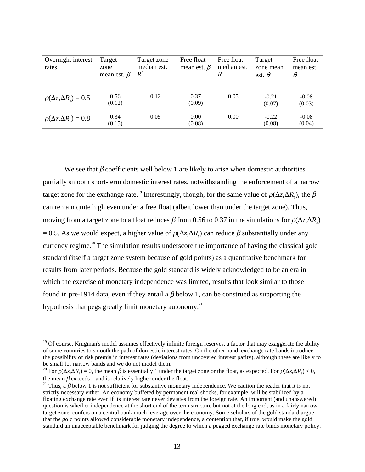| Overnight interest<br>rates          | Target<br>zone<br>mean est. $\beta$ | Target zone<br>median est.<br>$R^2$ | Free float<br>mean est. $\beta$ | Free float<br>median est.<br>$R^2$ | Target<br>zone mean<br>est. $\theta$ | Free float<br>mean est.<br>$\theta$ |
|--------------------------------------|-------------------------------------|-------------------------------------|---------------------------------|------------------------------------|--------------------------------------|-------------------------------------|
| $\rho(\Delta z, \Delta R_{h}) = 0.5$ | 0.56<br>(0.12)                      | 0.12                                | 0.37<br>(0.09)                  | 0.05                               | $-0.21$<br>(0.07)                    | $-0.08$<br>(0.03)                   |
| $\rho(\Delta z, \Delta R_{h}) = 0.8$ | 0.34<br>(0.15)                      | 0.05                                | 0.00<br>(0.08)                  | 0.00                               | $-0.22$<br>(0.08)                    | $-0.08$<br>(0.04)                   |

We see that  $\beta$  coefficients well below 1 are likely to arise when domestic authorities partially smooth short-term domestic interest rates, notwithstanding the enforcement of a narrow target zone for the exchange rate.<sup>19</sup> Interestingly, though, for the same value of  $\rho(\Delta z, \Delta R_b)$ , the  $\beta$ can remain quite high even under a free float (albeit lower than under the target zone). Thus, moving from a target zone to a float reduces  $\beta$  from 0.56 to 0.37 in the simulations for  $\rho(\Delta z, \Delta R_b)$ = 0.5. As we would expect, a higher value of  $\rho(\Delta z, \Delta R_b)$  can reduce  $\beta$  substantially under any currency regime.<sup>20</sup> The simulation results underscore the importance of having the classical gold standard (itself a target zone system because of gold points) as a quantitative benchmark for results from later periods. Because the gold standard is widely acknowledged to be an era in which the exercise of monetary independence was limited, results that look similar to those found in pre-1914 data, even if they entail a  $\beta$  below 1, can be construed as supporting the hypothesis that pegs greatly limit monetary autonomy.<sup>21</sup>

<sup>&</sup>lt;sup>19</sup> Of course, Krugman's model assumes effectively infinite foreign reserves, a factor that may exaggerate the ability of some countries to smooth the path of domestic interest rates. On the other hand, exchange rate bands introduce the possibility of risk premia in interest rates (deviations from uncovered interest parity), although these are likely to be small for narrow bands and we do not model them.

<sup>&</sup>lt;sup>20</sup> For  $\rho(\Delta z, \Delta R_k) = 0$ , the mean  $\beta$  is essentially 1 under the target zone or the float, as expected. For  $\rho(\Delta z, \Delta R_k) < 0$ , the mean  $\beta$  exceeds 1 and is relatively higher under the float.

<sup>&</sup>lt;sup>21</sup> Thus, a  $\beta$  below 1 is not sufficient for substantive monetary independence. We caution the reader that it is not strictly necessary either. An economy buffeted by permanent real shocks, for example, will be stabilized by a floating exchange rate even if its interest rate never deviates from the foreign rate. An important (and unanswered) question is whether independence at the short end of the term structure but not at the long end, as in a fairly narrow target zone, confers on a central bank much leverage over the economy. Some scholars of the gold standard argue that the gold points allowed considerable monetary independence, a contention that, if true, would make the gold standard an unacceptable benchmark for judging the degree to which a pegged exchange rate binds monetary policy.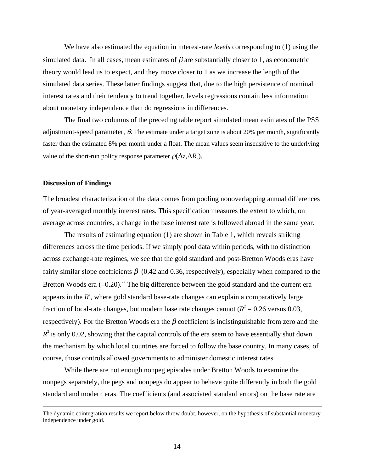We have also estimated the equation in interest-rate *levels* corresponding to (1) using the simulated data. In all cases, mean estimates of  $\beta$  are substantially closer to 1, as econometric theory would lead us to expect, and they move closer to 1 as we increase the length of the simulated data series. These latter findings suggest that, due to the high persistence of nominal interest rates and their tendency to trend together, levels regressions contain less information about monetary independence than do regressions in differences.

The final two columns of the preceding table report simulated mean estimates of the PSS adjustment-speed parameter,  $\theta$ . The estimate under a target zone is about 20% per month, significantly faster than the estimated 8% per month under a float. The mean values seem insensitive to the underlying value of the short-run policy response parameter  $\rho(\Delta z, \Delta R_b)$ .

### **Discussion of Findings**

The broadest characterization of the data comes from pooling nonoverlapping annual differences of year-averaged monthly interest rates. This specification measures the extent to which, on average across countries, a change in the base interest rate is followed abroad in the same year.

The results of estimating equation (1) are shown in Table 1, which reveals striking differences across the time periods. If we simply pool data within periods, with no distinction across exchange-rate regimes, we see that the gold standard and post-Bretton Woods eras have fairly similar slope coefficients  $\beta$  (0.42 and 0.36, respectively), especially when compared to the Bretton Woods era  $(-0.20)$ .<sup>22</sup> The big difference between the gold standard and the current era appears in the  $R^2$ , where gold standard base-rate changes can explain a comparatively large fraction of local-rate changes, but modern base rate changes cannot ( $R^2 = 0.26$  versus 0.03, respectively). For the Bretton Woods era the  $\beta$  coefficient is indistinguishable from zero and the  $R<sup>2</sup>$  is only 0.02, showing that the capital controls of the era seem to have essentially shut down the mechanism by which local countries are forced to follow the base country. In many cases, of course, those controls allowed governments to administer domestic interest rates.

While there are not enough nonpeg episodes under Bretton Woods to examine the nonpegs separately, the pegs and nonpegs do appear to behave quite differently in both the gold standard and modern eras. The coefficients (and associated standard errors) on the base rate are

The dynamic cointegration results we report below throw doubt, however, on the hypothesis of substantial monetary independence under gold.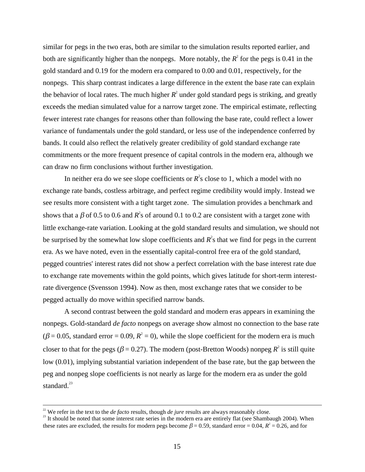similar for pegs in the two eras, both are similar to the simulation results reported earlier, and both are significantly higher than the nonpegs. More notably, the  $R^2$  for the pegs is 0.41 in the gold standard and 0.19 for the modern era compared to 0.00 and 0.01, respectively, for the nonpegs. This sharp contrast indicates a large difference in the extent the base rate can explain the behavior of local rates. The much higher  $R^2$  under gold standard pegs is striking, and greatly exceeds the median simulated value for a narrow target zone. The empirical estimate, reflecting fewer interest rate changes for reasons other than following the base rate, could reflect a lower variance of fundamentals under the gold standard, or less use of the independence conferred by bands. It could also reflect the relatively greater credibility of gold standard exchange rate commitments or the more frequent presence of capital controls in the modern era, although we can draw no firm conclusions without further investigation.

In neither era do we see slope coefficients or  $R^2$ s close to 1, which a model with no exchange rate bands, costless arbitrage, and perfect regime credibility would imply. Instead we see results more consistent with a tight target zone. The simulation provides a benchmark and shows that a  $\beta$  of 0.5 to 0.6 and  $R^2$ s of around 0.1 to 0.2 are consistent with a target zone with little exchange-rate variation. Looking at the gold standard results and simulation, we should not be surprised by the somewhat low slope coefficients and  $R^2$ s that we find for pegs in the current era. As we have noted, even in the essentially capital-control free era of the gold standard, pegged countries' interest rates did not show a perfect correlation with the base interest rate due to exchange rate movements within the gold points, which gives latitude for short-term interestrate divergence (Svensson 1994). Now as then, most exchange rates that we consider to be pegged actually do move within specified narrow bands.

A second contrast between the gold standard and modern eras appears in examining the nonpegs. Gold-standard *de facto* nonpegs on average show almost no connection to the base rate  $(\beta = 0.05$ , standard error = 0.09,  $R^2 = 0$ ), while the slope coefficient for the modern era is much closer to that for the pegs ( $\beta$  = 0.27). The modern (post-Bretton Woods) nonpeg  $R^2$  is still quite low (0.01), implying substantial variation independent of the base rate, but the gap between the peg and nonpeg slope coefficients is not nearly as large for the modern era as under the gold standard. $^{23}$ 

<sup>&</sup>lt;sup>22</sup> We refer in the text to the *de facto* results, though *de jure* results are always reasonably close.

 $23$  It should be noted that some interest rate series in the modern era are entirely flat (see Shambaugh 2004). When these rates are excluded, the results for modern pegs become  $\beta$  = 0.59, standard error = 0.04,  $R^2$  = 0.26, and for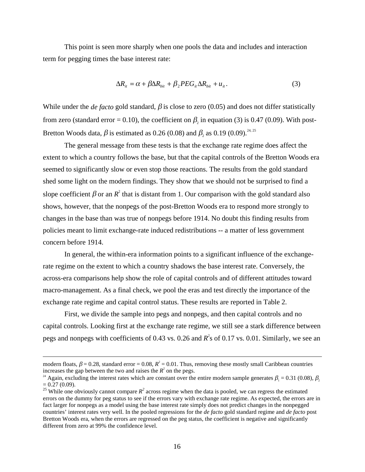This point is seen more sharply when one pools the data and includes and interaction term for pegging times the base interest rate:

$$
\Delta R_{it} = \alpha + \beta \Delta R_{bit} + \beta_2 P E G_{it} \Delta R_{bit} + u_{it}. \tag{3}
$$

While under the *de facto* gold standard,  $\beta$  is close to zero (0.05) and does not differ statistically from zero (standard error = 0.10), the coefficient on  $\beta_2$  in equation (3) is 0.47 (0.09). With post-Bretton Woods data,  $\beta$  is estimated as 0.26 (0.08) and  $\beta$ , as 0.19 (0.09).<sup>24, 25</sup>

The general message from these tests is that the exchange rate regime does affect the extent to which a country follows the base, but that the capital controls of the Bretton Woods era seemed to significantly slow or even stop those reactions. The results from the gold standard shed some light on the modern findings. They show that we should not be surprised to find a slope coefficient  $\beta$  or an  $R^2$  that is distant from 1. Our comparison with the gold standard also shows, however, that the nonpegs of the post-Bretton Woods era to respond more strongly to changes in the base than was true of nonpegs before 1914. No doubt this finding results from policies meant to limit exchange-rate induced redistributions -- a matter of less government concern before 1914.

In general, the within-era information points to a significant influence of the exchangerate regime on the extent to which a country shadows the base interest rate. Conversely, the across-era comparisons help show the role of capital controls and of different attitudes toward macro-management. As a final check, we pool the eras and test directly the importance of the exchange rate regime and capital control status. These results are reported in Table 2.

First, we divide the sample into pegs and nonpegs, and then capital controls and no capital controls. Looking first at the exchange rate regime, we still see a stark difference between pegs and nonpegs with coefficients of 0.43 vs. 0.26 and  $R^2$ s of 0.17 vs. 0.01. Similarly, we see an

modern floats,  $\beta$  = 0.28, standard error = 0.08,  $R^2$  = 0.01. Thus, removing these mostly small Caribbean countries increases the gap between the two and raises the  $R^2$  on the pegs.

<sup>&</sup>lt;sup>24</sup> Again, excluding the interest rates which are constant over the entire modern sample generates  $\beta_1 = 0.31$  (0.08),  $\beta_2$  $= 0.27$  (0.09).

<sup>&</sup>lt;sup>25</sup> While one obviously cannot compare  $R^2$  across regime when the data is pooled, we can regress the estimated errors on the dummy for peg status to see if the errors vary with exchange rate regime. As expected, the errors are in fact larger for nonpegs as a model using the base interest rate simply does not predict changes in the nonpegged countries' interest rates very well. In the pooled regressions for the *de facto* gold standard regime and *de facto* post Bretton Woods era, when the errors are regressed on the peg status, the coefficient is negative and significantly different from zero at 99% the confidence level.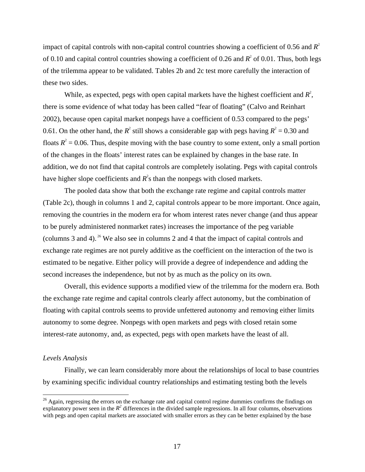impact of capital controls with non-capital control countries showing a coefficient of 0.56 and  $R^2$ of 0.10 and capital control countries showing a coefficient of 0.26 and  $R^2$  of 0.01. Thus, both legs of the trilemma appear to be validated. Tables 2b and 2c test more carefully the interaction of these two sides.

While, as expected, pegs with open capital markets have the highest coefficient and  $R^2$ , there is some evidence of what today has been called "fear of floating" (Calvo and Reinhart 2002), because open capital market nonpegs have a coefficient of 0.53 compared to the pegs' 0.61. On the other hand, the  $R^2$  still shows a considerable gap with pegs having  $R^2 = 0.30$  and floats  $R^2 = 0.06$ . Thus, despite moving with the base country to some extent, only a small portion of the changes in the floats' interest rates can be explained by changes in the base rate. In addition, we do not find that capital controls are completely isolating. Pegs with capital controls have higher slope coefficients and  $R^2$ s than the nonpegs with closed markets.

The pooled data show that both the exchange rate regime and capital controls matter (Table 2c), though in columns 1 and 2, capital controls appear to be more important. Once again, removing the countries in the modern era for whom interest rates never change (and thus appear to be purely administered nonmarket rates) increases the importance of the peg variable (columns 3 and 4). <sup>26</sup> We also see in columns 2 and 4 that the impact of capital controls and exchange rate regimes are not purely additive as the coefficient on the interaction of the two is estimated to be negative. Either policy will provide a degree of independence and adding the second increases the independence, but not by as much as the policy on its own.

Overall, this evidence supports a modified view of the trilemma for the modern era. Both the exchange rate regime and capital controls clearly affect autonomy, but the combination of floating with capital controls seems to provide unfettered autonomy and removing either limits autonomy to some degree. Nonpegs with open markets and pegs with closed retain some interest-rate autonomy, and, as expected, pegs with open markets have the least of all.

### *Levels Analysis*

 $\overline{a}$ 

Finally, we can learn considerably more about the relationships of local to base countries by examining specific individual country relationships and estimating testing both the levels

 $^{26}$  Again, regressing the errors on the exchange rate and capital control regime dummies confirms the findings on explanatory power seen in the  $R^2$  differences in the divided sample regressions. In all four columns, observations with pegs and open capital markets are associated with smaller errors as they can be better explained by the base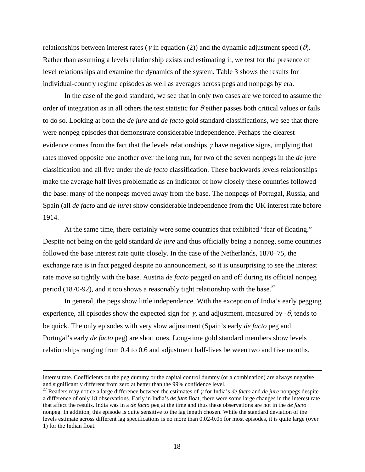relationships between interest rates ( $\gamma$  in equation (2)) and the dynamic adjustment speed ( $\theta$ ). Rather than assuming a levels relationship exists and estimating it, we test for the presence of level relationships and examine the dynamics of the system. Table 3 shows the results for individual-country regime episodes as well as averages across pegs and nonpegs by era.

In the case of the gold standard, we see that in only two cases are we forced to assume the order of integration as in all others the test statistic for  $\theta$  either passes both critical values or fails to do so. Looking at both the *de jure* and *de facto* gold standard classifications, we see that there were nonpeg episodes that demonstrate considerable independence. Perhaps the clearest evidence comes from the fact that the levels relationships  $\gamma$  have negative signs, implying that rates moved opposite one another over the long run, for two of the seven nonpegs in the *de jure* classification and all five under the *de facto* classification. These backwards levels relationships make the average half lives problematic as an indicator of how closely these countries followed the base: many of the nonpegs moved away from the base. The nonpegs of Portugal, Russia, and Spain (all *de facto* and *de jure*) show considerable independence from the UK interest rate before 1914.

At the same time, there certainly were some countries that exhibited "fear of floating." Despite not being on the gold standard *de jure* and thus officially being a nonpeg, some countries followed the base interest rate quite closely. In the case of the Netherlands, 1870–75, the exchange rate is in fact pegged despite no announcement, so it is unsurprising to see the interest rate move so tightly with the base. Austria *de facto* pegged on and off during its official nonpeg period (1870-92), and it too shows a reasonably tight relationship with the base.<sup>27</sup>

In general, the pegs show little independence. With the exception of India's early pegging experience, all episodes show the expected sign for  $\gamma$ , and adjustment, measured by  $-\theta$ , tends to be quick. The only episodes with very slow adjustment (Spain's early *de facto* peg and Portugal's early *de facto* peg) are short ones. Long-time gold standard members show levels relationships ranging from 0.4 to 0.6 and adjustment half-lives between two and five months.

interest rate. Coefficients on the peg dummy or the capital control dummy (or a combination) are always negative and significantly different from zero at better than the 99% confidence level.

<sup>&</sup>lt;sup>27</sup> Readers may notice a large difference between the estimates of  $\gamma$  for India's *de facto* and *de jure* nonpegs despite a difference of only 18 observations. Early in India's *de jure* float, there were some large changes in the interest rate that affect the results. India was in a *de facto* peg at the time and thus these observations are not in the *de facto* nonpeg. In addition, this episode is quite sensitive to the lag length chosen. While the standard deviation of the levels estimate across different lag specifications is no more than 0.02-0.05 for most episodes, it is quite large (over 1) for the Indian float.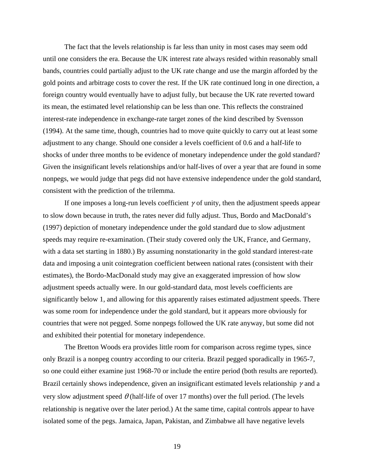The fact that the levels relationship is far less than unity in most cases may seem odd until one considers the era. Because the UK interest rate always resided within reasonably small bands, countries could partially adjust to the UK rate change and use the margin afforded by the gold points and arbitrage costs to cover the rest. If the UK rate continued long in one direction, a foreign country would eventually have to adjust fully, but because the UK rate reverted toward its mean, the estimated level relationship can be less than one. This reflects the constrained interest-rate independence in exchange-rate target zones of the kind described by Svensson (1994). At the same time, though, countries had to move quite quickly to carry out at least some adjustment to any change. Should one consider a levels coefficient of 0.6 and a half-life to shocks of under three months to be evidence of monetary independence under the gold standard? Given the insignificant levels relationships and/or half-lives of over a year that are found in some nonpegs, we would judge that pegs did not have extensive independence under the gold standard, consistent with the prediction of the trilemma.

If one imposes a long-run levels coefficient  $\gamma$  of unity, then the adjustment speeds appear to slow down because in truth, the rates never did fully adjust. Thus, Bordo and MacDonald's (1997) depiction of monetary independence under the gold standard due to slow adjustment speeds may require re-examination. (Their study covered only the UK, France, and Germany, with a data set starting in 1880.) By assuming nonstationarity in the gold standard interest-rate data and imposing a unit cointegration coefficient between national rates (consistent with their estimates), the Bordo-MacDonald study may give an exaggerated impression of how slow adjustment speeds actually were. In our gold-standard data, most levels coefficients are significantly below 1, and allowing for this apparently raises estimated adjustment speeds. There was some room for independence under the gold standard, but it appears more obviously for countries that were not pegged. Some nonpegs followed the UK rate anyway, but some did not and exhibited their potential for monetary independence.

The Bretton Woods era provides little room for comparison across regime types, since only Brazil is a nonpeg country according to our criteria. Brazil pegged sporadically in 1965-7, so one could either examine just 1968-70 or include the entire period (both results are reported). Brazil certainly shows independence, given an insignificant estimated levels relationship  $\gamma$  and a very slow adjustment speed  $\theta$  (half-life of over 17 months) over the full period. (The levels relationship is negative over the later period.) At the same time, capital controls appear to have isolated some of the pegs. Jamaica, Japan, Pakistan, and Zimbabwe all have negative levels

19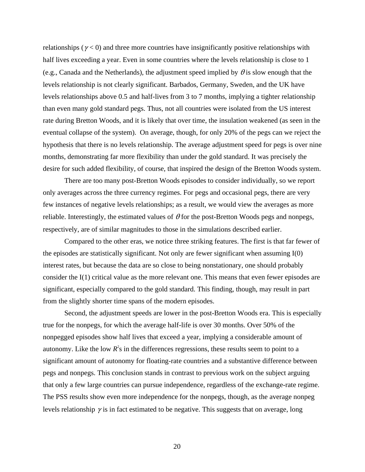relationships ( $\gamma$  < 0) and three more countries have insignificantly positive relationships with half lives exceeding a year. Even in some countries where the levels relationship is close to 1 (e.g., Canada and the Netherlands), the adjustment speed implied by  $\theta$  is slow enough that the levels relationship is not clearly significant. Barbados, Germany, Sweden, and the UK have levels relationships above 0.5 and half-lives from 3 to 7 months, implying a tighter relationship than even many gold standard pegs. Thus, not all countries were isolated from the US interest rate during Bretton Woods, and it is likely that over time, the insulation weakened (as seen in the eventual collapse of the system). On average, though, for only 20% of the pegs can we reject the hypothesis that there is no levels relationship. The average adjustment speed for pegs is over nine months, demonstrating far more flexibility than under the gold standard. It was precisely the desire for such added flexibility, of course, that inspired the design of the Bretton Woods system.

There are too many post-Bretton Woods episodes to consider individually, so we report only averages across the three currency regimes. For pegs and occasional pegs, there are very few instances of negative levels relationships; as a result, we would view the averages as more reliable. Interestingly, the estimated values of  $\theta$  for the post-Bretton Woods pegs and nonpegs, respectively, are of similar magnitudes to those in the simulations described earlier.

Compared to the other eras, we notice three striking features. The first is that far fewer of the episodes are statistically significant. Not only are fewer significant when assuming I(0) interest rates, but because the data are so close to being nonstationary, one should probably consider the I(1) critical value as the more relevant one. This means that even fewer episodes are significant, especially compared to the gold standard. This finding, though, may result in part from the slightly shorter time spans of the modern episodes.

Second, the adjustment speeds are lower in the post-Bretton Woods era. This is especially true for the nonpegs, for which the average half-life is over 30 months. Over 50% of the nonpegged episodes show half lives that exceed a year, implying a considerable amount of autonomy. Like the low  $R^2$ s in the differences regressions, these results seem to point to a significant amount of autonomy for floating-rate countries and a substantive difference between pegs and nonpegs. This conclusion stands in contrast to previous work on the subject arguing that only a few large countries can pursue independence, regardless of the exchange-rate regime. The PSS results show even more independence for the nonpegs, though, as the average nonpeg levels relationship  $\gamma$  is in fact estimated to be negative. This suggests that on average, long

20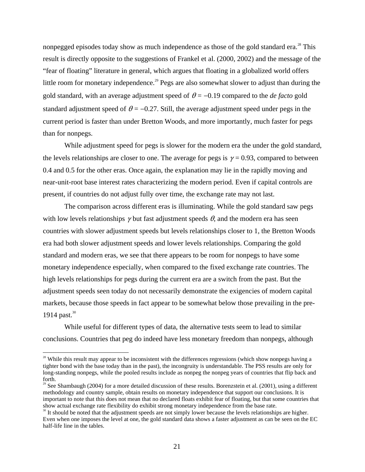nonpegged episodes today show as much independence as those of the gold standard era.<sup>28</sup> This result is directly opposite to the suggestions of Frankel et al. (2000, 2002) and the message of the "fear of floating" literature in general, which argues that floating in a globalized world offers little room for monetary independence.<sup>29</sup> Pegs are also somewhat slower to adjust than during the gold standard, with an average adjustment speed of  $\theta = -0.19$  compared to the *de facto* gold standard adjustment speed of  $\theta = -0.27$ . Still, the average adjustment speed under pegs in the current period is faster than under Bretton Woods, and more importantly, much faster for pegs than for nonpegs.

While adjustment speed for pegs is slower for the modern era the under the gold standard, the levels relationships are closer to one. The average for pegs is  $\gamma = 0.93$ , compared to between 0.4 and 0.5 for the other eras. Once again, the explanation may lie in the rapidly moving and near-unit-root base interest rates characterizing the modern period. Even if capital controls are present, if countries do not adjust fully over time, the exchange rate may not last.

The comparison across different eras is illuminating. While the gold standard saw pegs with low levels relationships  $\gamma$  but fast adjustment speeds  $\theta$ , and the modern era has seen countries with slower adjustment speeds but levels relationships closer to 1, the Bretton Woods era had both slower adjustment speeds and lower levels relationships. Comparing the gold standard and modern eras, we see that there appears to be room for nonpegs to have some monetary independence especially, when compared to the fixed exchange rate countries. The high levels relationships for pegs during the current era are a switch from the past. But the adjustment speeds seen today do not necessarily demonstrate the exigencies of modern capital markets, because those speeds in fact appear to be somewhat below those prevailing in the pre-1914 past. $30$ 

While useful for different types of data, the alternative tests seem to lead to similar conclusions. Countries that peg do indeed have less monetary freedom than nonpegs, although

<sup>&</sup>lt;sup>28</sup> While this result may appear to be inconsistent with the differences regressions (which show nonpegs having a tighter bond with the base today than in the past), the incongruity is understandable. The PSS results are only for long-standing nonpegs, while the pooled results include as nonpeg the nonpeg years of countries that flip back and forth.

<sup>&</sup>lt;sup>29</sup> See Shambaugh (2004) for a more detailed discussion of these results. Borenzstein et al. (2001), using a different methodology and country sample, obtain results on monetary independence that support our conclusions. It is important to note that this does not mean that no declared floats exhibit fear of floating, but that some countries that show actual exchange rate flexibility do exhibit strong monetary independence from the base rate.

 $30$  It should be noted that the adjustment speeds are not simply lower because the levels relationships are higher. Even when one imposes the level at one, the gold standard data shows a faster adjustment as can be seen on the EC half-life line in the tables.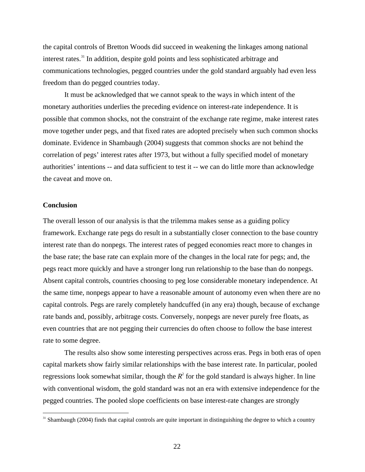the capital controls of Bretton Woods did succeed in weakening the linkages among national interest rates.<sup>31</sup> In addition, despite gold points and less sophisticated arbitrage and communications technologies, pegged countries under the gold standard arguably had even less freedom than do pegged countries today.

It must be acknowledged that we cannot speak to the ways in which intent of the monetary authorities underlies the preceding evidence on interest-rate independence. It is possible that common shocks, not the constraint of the exchange rate regime, make interest rates move together under pegs, and that fixed rates are adopted precisely when such common shocks dominate. Evidence in Shambaugh (2004) suggests that common shocks are not behind the correlation of pegs' interest rates after 1973, but without a fully specified model of monetary authorities' intentions -- and data sufficient to test it -- we can do little more than acknowledge the caveat and move on.

#### **Conclusion**

 $\overline{a}$ 

The overall lesson of our analysis is that the trilemma makes sense as a guiding policy framework. Exchange rate pegs do result in a substantially closer connection to the base country interest rate than do nonpegs. The interest rates of pegged economies react more to changes in the base rate; the base rate can explain more of the changes in the local rate for pegs; and, the pegs react more quickly and have a stronger long run relationship to the base than do nonpegs. Absent capital controls, countries choosing to peg lose considerable monetary independence. At the same time, nonpegs appear to have a reasonable amount of autonomy even when there are no capital controls. Pegs are rarely completely handcuffed (in any era) though, because of exchange rate bands and, possibly, arbitrage costs. Conversely, nonpegs are never purely free floats, as even countries that are not pegging their currencies do often choose to follow the base interest rate to some degree.

The results also show some interesting perspectives across eras. Pegs in both eras of open capital markets show fairly similar relationships with the base interest rate. In particular, pooled regressions look somewhat similar, though the  $R^2$  for the gold standard is always higher. In line with conventional wisdom, the gold standard was not an era with extensive independence for the pegged countries. The pooled slope coefficients on base interest-rate changes are strongly

<sup>&</sup>lt;sup>31</sup> Shambaugh (2004) finds that capital controls are quite important in distinguishing the degree to which a country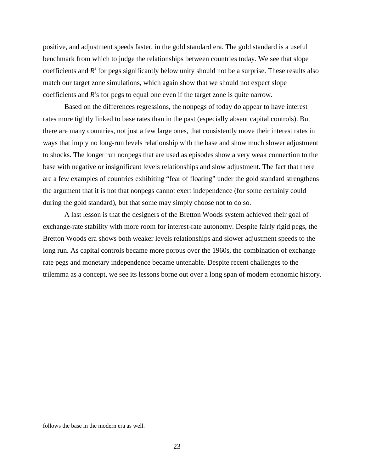positive, and adjustment speeds faster, in the gold standard era. The gold standard is a useful benchmark from which to judge the relationships between countries today. We see that slope coefficients and  $R^2$  for pegs significantly below unity should not be a surprise. These results also match our target zone simulations, which again show that we should not expect slope coefficients and  $R^2$ s for pegs to equal one even if the target zone is quite narrow.

Based on the differences regressions, the nonpegs of today do appear to have interest rates more tightly linked to base rates than in the past (especially absent capital controls). But there are many countries, not just a few large ones, that consistently move their interest rates in ways that imply no long-run levels relationship with the base and show much slower adjustment to shocks. The longer run nonpegs that are used as episodes show a very weak connection to the base with negative or insignificant levels relationships and slow adjustment. The fact that there are a few examples of countries exhibiting "fear of floating" under the gold standard strengthens the argument that it is not that nonpegs cannot exert independence (for some certainly could during the gold standard), but that some may simply choose not to do so.

A last lesson is that the designers of the Bretton Woods system achieved their goal of exchange-rate stability with more room for interest-rate autonomy. Despite fairly rigid pegs, the Bretton Woods era shows both weaker levels relationships and slower adjustment speeds to the long run. As capital controls became more porous over the 1960s, the combination of exchange rate pegs and monetary independence became untenable. Despite recent challenges to the trilemma as a concept, we see its lessons borne out over a long span of modern economic history.

follows the base in the modern era as well.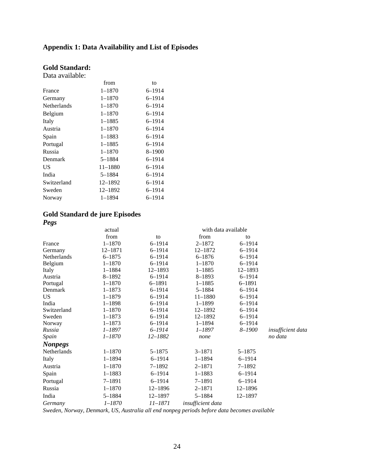## **Appendix 1: Data Availability and List of Episodes**

## **Gold Standard:**

Data available:

|                    | from        | to         |
|--------------------|-------------|------------|
| France             | $1 - 1870$  | $6 - 1914$ |
| Germany            | $1 - 1870$  | $6 - 1914$ |
| <b>Netherlands</b> | $1 - 1870$  | $6 - 1914$ |
| Belgium            | $1 - 1870$  | $6 - 1914$ |
| Italy              | $1 - 1885$  | $6 - 1914$ |
| Austria            | $1 - 1870$  | $6 - 1914$ |
| Spain              | $1 - 1883$  | $6 - 1914$ |
| Portugal           | $1 - 1885$  | $6 - 1914$ |
| Russia             | $1 - 1870$  | $8 - 1900$ |
| Denmark            | $5 - 1884$  | $6 - 1914$ |
| <b>US</b>          | $11 - 1880$ | $6 - 1914$ |
| India              | $5 - 1884$  | $6 - 1914$ |
| Switzerland        | 12-1892     | $6 - 1914$ |
| Sweden             | 12-1892     | $6 - 1914$ |
| Norway             | $1 - 1894$  | $6 - 1914$ |

## **Gold Standard de jure Episodes** *Pegs*

| with data available<br>actual |            |             |                          |             |                   |
|-------------------------------|------------|-------------|--------------------------|-------------|-------------------|
|                               | from       | to          | from                     | to          |                   |
| France                        | $1 - 1870$ | $6 - 1914$  | $2 - 1872$               | $6 - 1914$  |                   |
| Germany                       | 12-1871    | $6 - 1914$  | 12-1872                  | $6 - 1914$  |                   |
| Netherlands                   | $6 - 1875$ | $6 - 1914$  | $6 - 1876$               | $6 - 1914$  |                   |
| Belgium                       | $1 - 1870$ | $6 - 1914$  | $1 - 1870$               | $6 - 1914$  |                   |
| Italy                         | $1 - 1884$ | 12-1893     | $1 - 1885$               | 12-1893     |                   |
| Austria                       | 8-1892     | $6 - 1914$  | $8 - 1893$               | $6 - 1914$  |                   |
| Portugal                      | $1 - 1870$ | $6 - 1891$  | $1 - 1885$               | 6–1891      |                   |
| Denmark                       | $1 - 1873$ | $6 - 1914$  | $5 - 1884$               | $6 - 1914$  |                   |
| <b>US</b>                     | $1 - 1879$ | $6 - 1914$  | $11 - 1880$              | $6 - 1914$  |                   |
| India                         | $1 - 1898$ | $6 - 1914$  | $1 - 1899$               | $6 - 1914$  |                   |
| Switzerland                   | $1 - 1870$ | $6 - 1914$  | 12-1892                  | $6 - 1914$  |                   |
| Sweden                        | $1 - 1873$ | $6 - 1914$  | 12-1892                  | $6 - 1914$  |                   |
| Norway                        | $1 - 1873$ | $6 - 1914$  | $1 - 1894$               | $6 - 1914$  |                   |
| Russia                        | 1–1897     | 6–1914      | 1–1897                   | 8–1900      | insufficient data |
| Spain                         | 1–1870     | 12–1882     | none                     |             | no data           |
| <b>Nonpegs</b>                |            |             |                          |             |                   |
| Netherlands                   | $1 - 1870$ | $5 - 1875$  | $3 - 1871$               | $5 - 1875$  |                   |
| Italy                         | $1 - 1894$ | $6 - 1914$  | $1 - 1894$               | $6 - 1914$  |                   |
| Austria                       | $1 - 1870$ | $7 - 1892$  | $2 - 1871$               | $7 - 1892$  |                   |
| Spain                         | $1 - 1883$ | $6 - 1914$  | $1 - 1883$               | $6 - 1914$  |                   |
| Portugal                      | $7 - 1891$ | $6 - 1914$  | $7 - 1891$               | $6 - 1914$  |                   |
| Russia                        | $1 - 1870$ | $12 - 1896$ | $2 - 1871$               | $12 - 1896$ |                   |
| India                         | $5 - 1884$ | 12-1897     | $5 - 1884$               | $12 - 1897$ |                   |
| Germany                       | 1–1870     | 11–1871     | <i>insufficient data</i> |             |                   |

*Sweden, Norway, Denmark, US, Australia all end nonpeg periods before data becomes available*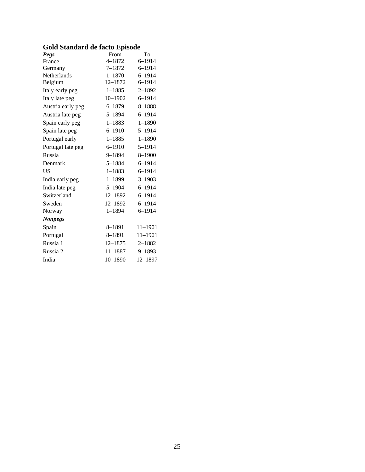## **Gold Standard de facto Episode**

| Pegs              | From        | To          |
|-------------------|-------------|-------------|
| France            | $4 - 1872$  | $6 - 1914$  |
| Germany           | 7–1872      | $6 - 1914$  |
| Netherlands       | $1 - 1870$  | $6 - 1914$  |
| Belgium           | 12-1872     | $6 - 1914$  |
| Italy early peg   | $1 - 1885$  | $2 - 1892$  |
| Italy late peg    | 10-1902     | $6 - 1914$  |
| Austria early peg | $6 - 1879$  | 8-1888      |
| Austria late peg  | 5-1894      | $6 - 1914$  |
| Spain early peg   | $1 - 1883$  | $1 - 1890$  |
| Spain late peg    | $6 - 1910$  | $5 - 1914$  |
| Portugal early    | $1 - 1885$  | $1 - 1890$  |
| Portugal late peg | $6 - 1910$  | $5 - 1914$  |
| Russia            | 9-1894      | $8 - 1900$  |
| Denmark           | 5-1884      | $6 - 1914$  |
| US                | $1 - 1883$  | $6 - 1914$  |
| India early peg   | $1 - 1899$  | $3 - 1903$  |
| India late peg    | $5 - 1904$  | $6 - 1914$  |
| Switzerland       | 12-1892     | $6 - 1914$  |
| Sweden            | 12-1892     | $6 - 1914$  |
| Norway            | $1 - 1894$  | $6 - 1914$  |
| <b>Nonpegs</b>    |             |             |
| Spain             | 8-1891      | $11 - 1901$ |
| Portugal          | 8-1891      | $11 - 1901$ |
| Russia 1          | 12-1875     | 2–1882      |
| Russia 2          | $11 - 1887$ | $9 - 1893$  |
| India             | $10 - 1890$ | 12-1897     |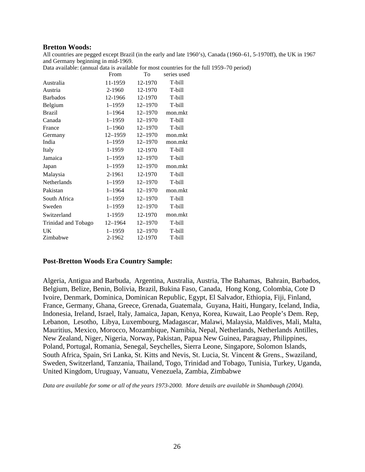## **Bretton Woods:**

All countries are pegged except Brazil (in the early and late 1960's), Canada (1960–61, 5-1970ff), the UK in 1967 and Germany beginning in mid-1969.

Data available: (annual data is available for most countries for the full 1959–70 period)

| From       | To          | series used |
|------------|-------------|-------------|
| 11-1959    | 12-1970     | T-bill      |
| 2-1960     | 12-1970     | T-bill      |
| 12-1966    | 12-1970     | T-bill      |
| $1 - 1959$ | 12-1970     | T-bill      |
| $1 - 1964$ | 12-1970     | mon.mkt     |
| $1 - 1959$ | 12-1970     | T-bill      |
| $1 - 1960$ | 12-1970     | T-bill      |
| 12-1959    | 12-1970     | mon.mkt     |
| $1 - 1959$ | 12-1970     | mon.mkt     |
| 1-1959     | 12-1970     | T-bill      |
| $1 - 1959$ | 12-1970     | T-bill      |
| $1 - 1959$ | 12-1970     | mon.mkt     |
| 2-1961     | 12-1970     | T-bill      |
| $1 - 1959$ | 12-1970     | T-bill      |
| $1 - 1964$ | 12-1970     | mon.mkt     |
| $1 - 1959$ | 12-1970     | T-bill      |
| $1 - 1959$ | 12-1970     | T-bill      |
| 1-1959     | 12-1970     | mon.mkt     |
| 12-1964    | 12-1970     | T-bill      |
| $1 - 1959$ | $12 - 1970$ | T-bill      |
| 2-1962     | 12-1970     | T-bill      |
|            |             |             |

## **Post-Bretton Woods Era Country Sample:**

Algeria, Antigua and Barbuda, Argentina, Australia, Austria, The Bahamas, Bahrain, Barbados, Belgium, Belize, Benin, Bolivia, Brazil, Bukina Faso, Canada, Hong Kong, Colombia, Cote D Ivoire, Denmark, Dominica, Dominican Republic, Egypt, El Salvador, Ethiopia, Fiji, Finland, France, Germany, Ghana, Greece, Grenada, Guatemala, Guyana, Haiti, Hungary, Iceland, India, Indonesia, Ireland, Israel, Italy, Jamaica, Japan, Kenya, Korea, Kuwait, Lao People's Dem. Rep, Lebanon, Lesotho, Libya, Luxembourg, Madagascar, Malawi, Malaysia, Maldives, Mali, Malta, Mauritius, Mexico, Morocco, Mozambique, Namibia, Nepal, Netherlands, Netherlands Antilles, New Zealand, Niger, Nigeria, Norway, Pakistan, Papua New Guinea, Paraguay, Philippines, Poland, Portugal, Romania, Senegal, Seychelles, Sierra Leone, Singapore, Solomon Islands, South Africa, Spain, Sri Lanka, St. Kitts and Nevis, St. Lucia, St. Vincent & Grens., Swaziland, Sweden, Switzerland, Tanzania, Thailand, Togo, Trinidad and Tobago, Tunisia, Turkey, Uganda, United Kingdom, Uruguay, Vanuatu, Venezuela, Zambia, Zimbabwe

*Data are available for some or all of the years 1973-2000. More details are available in Shambaugh (2004).*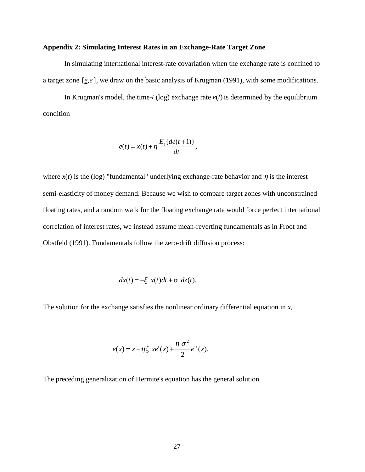## **Appendix 2: Simulating Interest Rates in an Exchange-Rate Target Zone**

In simulating international interest-rate covariation when the exchange rate is confined to a target zone  $[e,\bar{e}]$ , we draw on the basic analysis of Krugman (1991), with some modifications.

In Krugman's model, the time- $t$  (log) exchange rate  $e(t)$  is determined by the equilibrium condition

$$
e(t) = x(t) + \eta \frac{E_t \{de(t+1)\}}{dt},
$$

where  $x(t)$  is the (log) "fundamental" underlying exchange-rate behavior and  $\eta$  is the interest semi-elasticity of money demand. Because we wish to compare target zones with unconstrained floating rates, and a random walk for the floating exchange rate would force perfect international correlation of interest rates, we instead assume mean-reverting fundamentals as in Froot and Obstfeld (1991). Fundamentals follow the zero-drift diffusion process:

$$
dx(t) = -\xi x(t)dt + \sigma dz(t).
$$

The solution for the exchange satisfies the nonlinear ordinary differential equation in *x*,

$$
e(x) = x - \eta \xi xe'(x) + \frac{\eta \sigma^2}{2} e''(x).
$$

The preceding generalization of Hermite's equation has the general solution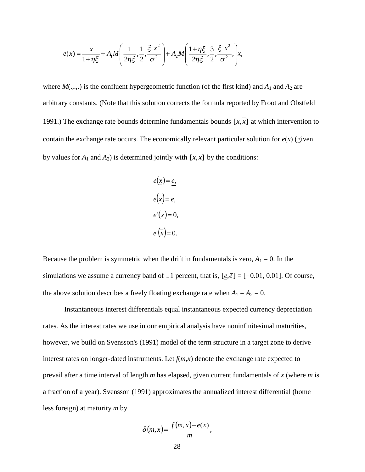$$
e(x) = \frac{x}{1 + \eta \xi} + A_1 M \left( \frac{1}{2\eta \xi}, \frac{1}{2}, \frac{\xi x^2}{\sigma^2} \right) + A_2 M \left( \frac{1 + \eta \xi}{2\eta \xi}, \frac{3}{2}, \frac{\xi x^2}{\sigma^2}, \right) x,
$$

where  $M(.,.,.)$  is the confluent hypergeometric function (of the first kind) and  $A_1$  and  $A_2$  are arbitrary constants. (Note that this solution corrects the formula reported by Froot and Obstfeld 1991.) The exchange rate bounds determine fundamentals bounds  $\overline{[x, x]}$  at which intervention to contain the exchange rate occurs. The economically relevant particular solution for  $e(x)$  (given by values for  $A_1$  and  $A_2$ ) is determined jointly with  $\overline{[x, x]}$  by the conditions:

$$
e(\underline{x}) = \underline{e},
$$
  
\n
$$
e(\overline{x}) = \overline{e},
$$
  
\n
$$
e'(\underline{x}) = 0,
$$
  
\n
$$
e'(\overline{x}) = 0.
$$

Because the problem is symmetric when the drift in fundamentals is zero,  $A_1 = 0$ . In the simulations we assume a currency band of  $\pm 1$  percent, that is,  $[e,\bar{e}] = [-0.01, 0.01]$ . Of course, the above solution describes a freely floating exchange rate when  $A_1 = A_2 = 0$ .

Instantaneous interest differentials equal instantaneous expected currency depreciation rates. As the interest rates we use in our empirical analysis have noninfinitesimal maturities, however, we build on Svensson's (1991) model of the term structure in a target zone to derive interest rates on longer-dated instruments. Let  $f(m,x)$  denote the exchange rate expected to prevail after a time interval of length *m* has elapsed, given current fundamentals of *x* (where *m* is a fraction of a year). Svensson (1991) approximates the annualized interest differential (home less foreign) at maturity *m* by

$$
\delta(m,x) = \frac{f(m,x) - e(x)}{m},
$$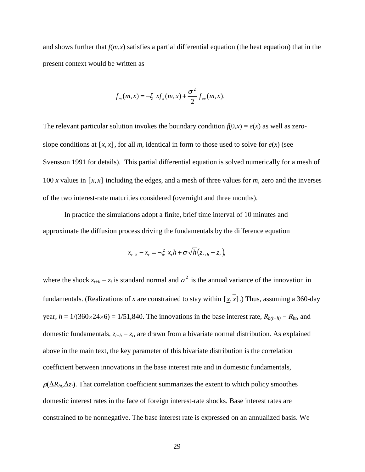and shows further that  $f(m,x)$  satisfies a partial differential equation (the heat equation) that in the present context would be written as

$$
f_m(m,x) = -\xi x f_x(m,x) + \frac{\sigma^2}{2} f_{xx}(m,x).
$$

The relevant particular solution invokes the boundary condition  $f(0,x) = e(x)$  as well as zeroslope conditions at  $\overline{[x, x]}$ , for all *m*, identical in form to those used to solve for  $e(x)$  (see Svensson 1991 for details). This partial differential equation is solved numerically for a mesh of 100 *x* values in  $\overline{[x, x]}$  including the edges, and a mesh of three values for *m*, zero and the inverses of the two interest-rate maturities considered (overnight and three months).

In practice the simulations adopt a finite, brief time interval of 10 minutes and approximate the diffusion process driving the fundamentals by the difference equation

$$
x_{t+h} - x_t = -\xi \ x_t h + \sigma \sqrt{h} (z_{t+h} - z_t),
$$

where the shock  $z_{t+h} - z_t$  is standard normal and  $\sigma^2$  is the annual variance of the innovation in fundamentals. (Realizations of *x* are constrained to stay within  $[x, x]$ .) Thus, assuming a 360-day year,  $h = 1/(360 \times 24 \times 6) = 1/51,840$ . The innovations in the base interest rate,  $R_{b(t+h)} - R_{bt}$ , and domestic fundamentals, *zt*+*<sup>h</sup>* − *zt*, are drawn from a bivariate normal distribution. As explained above in the main text, the key parameter of this bivariate distribution is the correlation coefficient between innovations in the base interest rate and in domestic fundamentals,  $\rho(\Delta R_{bt}, \Delta z_t)$ . That correlation coefficient summarizes the extent to which policy smoothes domestic interest rates in the face of foreign interest-rate shocks. Base interest rates are constrained to be nonnegative. The base interest rate is expressed on an annualized basis. We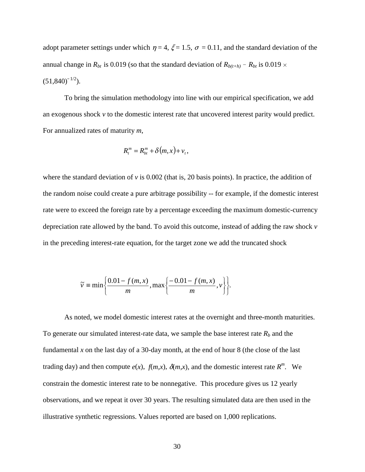adopt parameter settings under which  $\eta = 4$ ,  $\xi = 1.5$ ,  $\sigma = 0.11$ , and the standard deviation of the annual change in  $R_{bt}$  is 0.019 (so that the standard deviation of  $R_{b(t+h)}$  –  $R_{bt}$  is 0.019  $\times$ adopt parame<br>annual chang<br>(51,840)<sup>-1/2</sup>).

To bring the simulation methodology into line with our empirical specification, we add an exogenous shock *v* to the domestic interest rate that uncovered interest parity would predict. For annualized rates of maturity *m*,

$$
R_t^m = R_{bt}^m + \delta(m, x) + v_t,
$$

where the standard deviation of  $\nu$  is 0.002 (that is, 20 basis points). In practice, the addition of the random noise could create a pure arbitrage possibility -- for example, if the domestic interest rate were to exceed the foreign rate by a percentage exceeding the maximum domestic-currency depreciation rate allowed by the band. To avoid this outcome, instead of adding the raw shock *v* in the preceding interest-rate equation, for the target zone we add the truncated shock

$$
\widetilde{v} \equiv \min\left\{\frac{0.01 - f(m, x)}{m}, \max\left\{\frac{-0.01 - f(m, x)}{m}, v\right\}\right\}.
$$

As noted, we model domestic interest rates at the overnight and three-month maturities. To generate our simulated interest-rate data, we sample the base interest rate  $R_b$  and the fundamental *x* on the last day of a 30-day month, at the end of hour 8 (the close of the last trading day) and then compute  $e(x)$ ,  $f(m,x)$ ,  $\delta(m,x)$ , and the domestic interest rate  $R^m$ . We constrain the domestic interest rate to be nonnegative. This procedure gives us 12 yearly observations, and we repeat it over 30 years. The resulting simulated data are then used in the illustrative synthetic regressions. Values reported are based on 1,000 replications.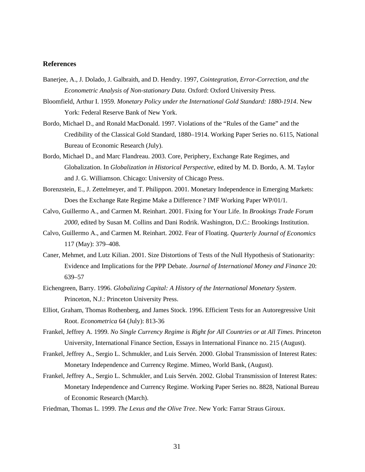### **References**

- Banerjee, A., J. Dolado, J. Galbraith, and D. Hendry. 1997, *Cointegration, Error-Correction, and the Econometric Analysis of Non-stationary Data*. Oxford: Oxford University Press.
- Bloomfield, Arthur I. 1959. *Monetary Policy under the International Gold Standard: 1880-1914*. New York: Federal Reserve Bank of New York.
- Bordo, Michael D., and Ronald MacDonald. 1997. Violations of the "Rules of the Game" and the Credibility of the Classical Gold Standard, 1880–1914. Working Paper Series no. 6115, National Bureau of Economic Research (July).
- Bordo, Michael D., and Marc Flandreau. 2003. Core, Periphery, Exchange Rate Regimes, and Globalization. In *Globalization in Historical Perspective*, edited by M. D. Bordo, A. M. Taylor and J. G. Williamson. Chicago: University of Chicago Press.
- Borenzstein, E., J. Zettelmeyer, and T. Philippon. 2001. Monetary Independence in Emerging Markets: Does the Exchange Rate Regime Make a Difference ? IMF Working Paper WP/01/1.
- Calvo, Guillermo A., and Carmen M. Reinhart. 2001. Fixing for Your Life. In *Brookings Trade Forum 2000*, edited by Susan M. Collins and Dani Rodrik. Washington, D.C.: Brookings Institution.
- Calvo, Guillermo A., and Carmen M. Reinhart. 2002. Fear of Floating. *Quarterly Journal of Economics* 117 (May): 379–408.
- Caner, Mehmet, and Lutz Kilian. 2001. Size Distortions of Tests of the Null Hypothesis of Stationarity: Evidence and Implications for the PPP Debate. *Journal of International Money and Finance* 20: 639–57
- Eichengreen, Barry. 1996. *Globalizing Capital: A History of the International Monetary System*. Princeton, N.J.: Princeton University Press.
- Elliot, Graham, Thomas Rothenberg, and James Stock. 1996. Efficient Tests for an Autoregressive Unit Root. *Econometrica* 64 (July): 813-36
- Frankel, Jeffrey A. 1999. *No Single Currency Regime is Right for All Countries or at All Times*. Princeton University, International Finance Section, Essays in International Finance no. 215 (August).
- Frankel, Jeffrey A., Sergio L. Schmukler, and Luis Servén. 2000. Global Transmission of Interest Rates: Monetary Independence and Currency Regime. Mimeo, World Bank, (August).
- Frankel, Jeffrey A., Sergio L. Schmukler, and Luis Servén. 2002. Global Transmission of Interest Rates: Monetary Independence and Currency Regime. Working Paper Series no. 8828, National Bureau of Economic Research (March).
- Friedman, Thomas L. 1999. *The Lexus and the Olive Tree*. New York: Farrar Straus Giroux.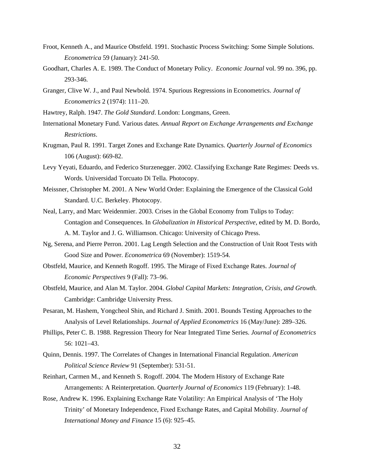- Froot, Kenneth A., and Maurice Obstfeld. 1991. Stochastic Process Switching: Some Simple Solutions. *Econometrica* 59 (January): 241-50.
- Goodhart, Charles A. E. 1989. The Conduct of Monetary Policy. *Economic Journal* vol. 99 no. 396, pp. 293-346.
- Granger, Clive W. J., and Paul Newbold. 1974. Spurious Regressions in Econometrics. *Journal of Econometrics* 2 (1974): 111–20.

Hawtrey, Ralph. 1947. *The Gold Standard*. London: Longmans, Green.

- International Monetary Fund. Various dates*. Annual Report on Exchange Arrangements and Exchange Restrictions*.
- Krugman, Paul R. 1991. Target Zones and Exchange Rate Dynamics. *Quarterly Journal of Economics* 106 (August): 669-82.
- Levy Yeyati, Eduardo, and Federico Sturzenegger. 2002. Classifying Exchange Rate Regimes: Deeds vs. Words. Universidad Torcuato Di Tella. Photocopy.
- Meissner, Christopher M. 2001. A New World Order: Explaining the Emergence of the Classical Gold Standard. U.C. Berkeley. Photocopy.
- Neal, Larry, and Marc Weidenmier. 2003. Crises in the Global Economy from Tulips to Today: Contagion and Consequences. In *Globalization in Historical Perspective*, edited by M. D. Bordo, A. M. Taylor and J. G. Williamson. Chicago: University of Chicago Press.
- Ng, Serena, and Pierre Perron. 2001. Lag Length Selection and the Construction of Unit Root Tests with Good Size and Power. *Econometrica* 69 (November): 1519-54.
- Obstfeld, Maurice, and Kenneth Rogoff. 1995. The Mirage of Fixed Exchange Rates. *Journal of Economic Perspectives* 9 (Fall): 73–96.
- Obstfeld, Maurice, and Alan M. Taylor. 2004. *Global Capital Markets: Integration, Crisis, and Growth.* Cambridge: Cambridge University Press.
- Pesaran, M. Hashem, Yongcheol Shin, and Richard J. Smith. 2001. Bounds Testing Approaches to the Analysis of Level Relationships. *Journal of Applied Econometrics* 16 (May/June): 289–326.
- Phillips, Peter C. B. 1988. Regression Theory for Near Integrated Time Series. *Journal of Econometrics* 56: 1021–43.
- Quinn, Dennis. 1997. The Correlates of Changes in International Financial Regulation. *American Political Science Review* 91 (September): 531-51.
- Reinhart, Carmen M., and Kenneth S. Rogoff. 2004. The Modern History of Exchange Rate Arrangements: A Reinterpretation. *Quarterly Journal of Economics* 119 (February): 1-48.
- Rose, Andrew K. 1996. Explaining Exchange Rate Volatility: An Empirical Analysis of 'The Holy Trinity' of Monetary Independence, Fixed Exchange Rates, and Capital Mobility. *Journal of International Money and Finance* 15 (6): 925–45.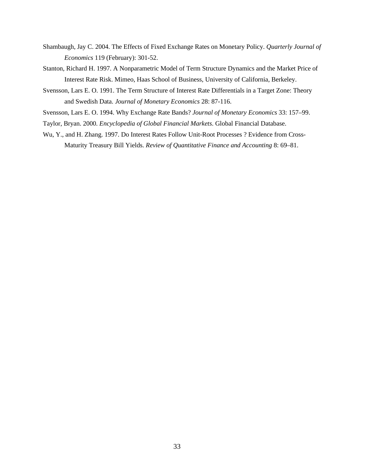- Shambaugh, Jay C. 2004. The Effects of Fixed Exchange Rates on Monetary Policy. *Quarterly Journal of Economics* 119 (February): 301-52.
- Stanton, Richard H. 1997. A Nonparametric Model of Term Structure Dynamics and the Market Price of Interest Rate Risk. Mimeo, Haas School of Business, University of California, Berkeley.
- Svensson, Lars E. O. 1991. The Term Structure of Interest Rate Differentials in a Target Zone: Theory and Swedish Data. *Journal of Monetary Economics* 28: 87-116.

Svensson, Lars E. O. 1994. Why Exchange Rate Bands? *Journal of Monetary Economics* 33: 157–99.

- Taylor, Bryan. 2000. *Encyclopedia of Global Financial Markets*. Global Financial Database.
- Wu, Y., and H. Zhang. 1997. Do Interest Rates Follow Unit-Root Processes ? Evidence from Cross-Maturity Treasury Bill Yields. *Review of Quantitative Finance and Accounting* 8: 69–81.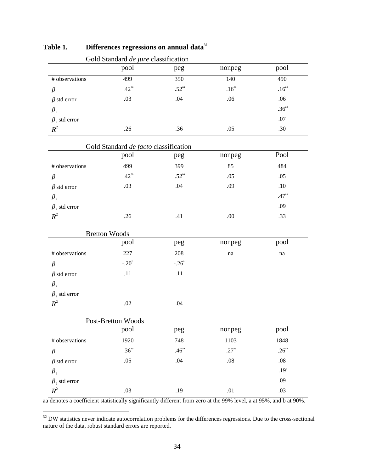|                       | Gold Standard de jure classification  |                   |                   |                   |
|-----------------------|---------------------------------------|-------------------|-------------------|-------------------|
|                       | pool                                  | peg               | nonpeg            | pool              |
| # observations        | 499                                   | 350               | 140               | 490               |
| $\beta$               | .42 <sup>aa</sup>                     | .52 <sup>aa</sup> | $.16^{\rm{aa}}$   | .16 <sup>aa</sup> |
| $\beta$ std error     | .03                                   | .04               | .06               | .06               |
| $\beta_{2}$           |                                       |                   |                   | .36 <sup>aa</sup> |
| $\beta_2$ std error   |                                       |                   |                   | .07               |
| $R^2$                 | .26                                   | .36               | .05               | .30               |
|                       | Gold Standard de facto classification |                   |                   |                   |
|                       | pool                                  | peg               | nonpeg            | Pool              |
| # observations        | 499                                   | 399               | 85                | 484               |
| $\beta$               | .42 <sup>aa</sup>                     | .52 <sup>aa</sup> | .05               | .05               |
| $\beta$ std error     | .03                                   | .04               | .09               | $.10\,$           |
| $\beta_{2}$           |                                       |                   |                   | .47 <sup>aa</sup> |
| $\beta_{2}$ std error |                                       |                   |                   | .09               |
| $R^2$                 | .26                                   | .41               | .00               | .33               |
|                       | <b>Bretton Woods</b>                  |                   |                   |                   |
|                       | pool                                  | peg               | nonpeg            | pool              |
| # observations        | 227                                   | 208               | na                | na                |
| $\beta$               | $-.20^{\circ}$                        | $-.26^{\circ}$    |                   |                   |
| $\beta$ std error     | .11                                   | .11               |                   |                   |
| $\beta_{2}$           |                                       |                   |                   |                   |
| $\beta_2$ std error   |                                       |                   |                   |                   |
| $R^2$                 | .02                                   | .04               |                   |                   |
|                       | Post-Bretton Woods                    |                   |                   |                   |
|                       | pool                                  | peg               | nonpeg            | pool              |
| # observations        | 1920                                  | 748               | 1103              | 1848              |
| $\beta$               | .36 <sup>aa</sup>                     | .46 <sup>aa</sup> | .27 <sup>aa</sup> | .26 <sup>aa</sup> |
| $\beta$ std error     | .05                                   | .04               | $.08\,$           | .08               |
| $\beta_{2}$           |                                       |                   |                   | .19 <sup>a</sup>  |
| $\beta_{2}$ std error |                                       |                   |                   | .09               |
| $R^2$                 | .03                                   | .19               | .01               | .03               |

## Table 1. **Differences regressions on annual data**<sup>32</sup>

aa denotes a coefficient statistically significantly different from zero at the 99% level, a at 95%, and b at 90%.

 $32$  DW statistics never indicate autocorrelation problems for the differences regressions. Due to the cross-sectional nature of the data, robust standard errors are reported.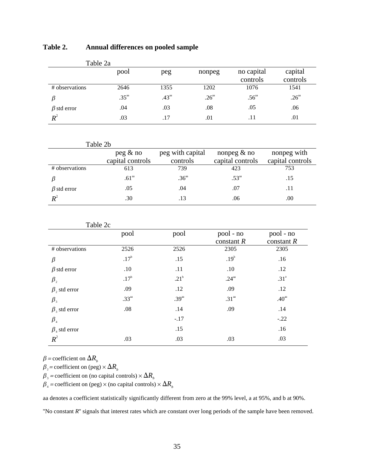| Table 2. | <b>Annual differences on pooled sample</b> |  |
|----------|--------------------------------------------|--|
|----------|--------------------------------------------|--|

| Table 2a           |                   |                   |                   |                        |                     |
|--------------------|-------------------|-------------------|-------------------|------------------------|---------------------|
|                    | pool              | peg               | nonpeg            | no capital<br>controls | capital<br>controls |
| # observations     | 2646              | 1355              | 1202              | 1076                   | 1541                |
|                    | .35 <sup>aa</sup> | .43 <sup>aa</sup> | .26 <sup>aa</sup> | .56 <sup>aa</sup>      | .26 <sup>aa</sup>   |
| $\beta$ std error  | .04               | .03               | .08               | .05                    | .06                 |
| $\boldsymbol{R}^2$ | .03               | .17               | .01               | .11                    | .01                 |

| Table 2b          |                              |                              |                                   |                                 |
|-------------------|------------------------------|------------------------------|-----------------------------------|---------------------------------|
|                   | peg & no<br>capital controls | peg with capital<br>controls | nonpeg $&$ no<br>capital controls | nonpeg with<br>capital controls |
| # observations    | 613                          | 739                          | 423                               | 753                             |
|                   | .61 <sup>aa</sup>            | .36 <sup>aa</sup>            | .53 <sup>aa</sup>                 | .15                             |
| $\beta$ std error | .05                          | .04                          | .07                               | .11                             |
|                   | .30                          |                              | .06                               | .00                             |

| Table 2c                       |                   |                   |                   |                   |
|--------------------------------|-------------------|-------------------|-------------------|-------------------|
|                                | pool              | pool              | pool - no         | pool - no         |
|                                |                   |                   | constant $R$      | constant $R$      |
| # observations                 | 2526              | 2526              | 2305              | 2305              |
| $\beta$                        | .17 <sup>b</sup>  | .15               | .19 <sup>b</sup>  | .16               |
| $\beta$ std error              | .10               | .11               | .10               | .12               |
| $\beta_{2}$                    | .17 <sup>b</sup>  | .21 <sup>b</sup>  | .24 <sup>aa</sup> | .31 <sup>a</sup>  |
| $\beta$ , std error            | .09               | .12               | .09               | .12               |
| $\beta_{3}$                    | .33 <sup>aa</sup> | .39 <sup>aa</sup> | .31 <sup>aa</sup> | .40 <sup>aa</sup> |
| $\beta$ , std error            | .08               | .14               | .09               | .14               |
| $\beta_{\scriptscriptstyle 4}$ |                   | $-.17$            |                   | $-.22$            |
| $\beta_4$ std error            |                   | .15               |                   | .16               |
| $R^2$                          | .03               | .03               | .03               | .03               |

 $\beta$  = coefficient on  $\Delta R$ <sup>b</sup>

 $\beta_2$  = coefficient on (peg)  $\times \Delta R_b$ 

 $\beta_3$  = coefficient on (no capital controls)  $\times \Delta R_b$ 

 $\beta_4$  = coefficient on (peg) × (no capital controls) ×  $\Delta R_b$ 

aa denotes a coefficient statistically significantly different from zero at the 99% level, a at 95%, and b at 90%.

''No constant *R*'' signals that interest rates which are constant over long periods of the sample have been removed.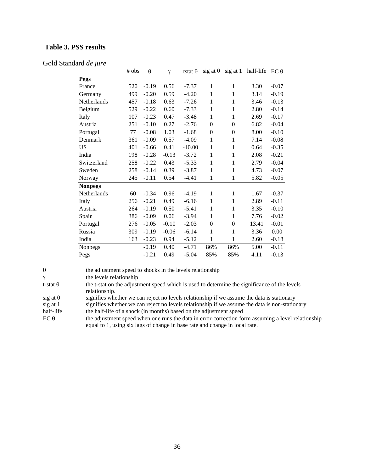## **Table 3. PSS results**

### Gold Standard *de jure*

|                | # obs | $\theta$ | $\gamma$ | tstat $\theta$ | sig at 0         | sig at 1         | half-life | $EC \theta$ |
|----------------|-------|----------|----------|----------------|------------------|------------------|-----------|-------------|
| Pegs           |       |          |          |                |                  |                  |           |             |
| France         | 520   | $-0.19$  | 0.56     | $-7.37$        | $\mathbf{1}$     | 1                | 3.30      | $-0.07$     |
| Germany        | 499   | $-0.20$  | 0.59     | $-4.20$        | $\mathbf{1}$     | 1                | 3.14      | $-0.19$     |
| Netherlands    | 457   | $-0.18$  | 0.63     | $-7.26$        | 1                | 1                | 3.46      | $-0.13$     |
| Belgium        | 529   | $-0.22$  | 0.60     | $-7.33$        | $\mathbf{1}$     | 1                | 2.80      | $-0.14$     |
| Italy          | 107   | $-0.23$  | 0.47     | $-3.48$        | $\mathbf{1}$     | 1                | 2.69      | $-0.17$     |
| Austria        | 251   | $-0.10$  | 0.27     | $-2.76$        | 0                | $\boldsymbol{0}$ | 6.82      | $-0.04$     |
| Portugal       | 77    | $-0.08$  | 1.03     | $-1.68$        | $\boldsymbol{0}$ | $\boldsymbol{0}$ | 8.00      | $-0.10$     |
| Denmark        | 361   | $-0.09$  | 0.57     | $-4.09$        | $\mathbf{1}$     | 1                | 7.14      | $-0.08$     |
| <b>US</b>      | 401   | $-0.66$  | 0.41     | $-10.00$       | $\mathbf{1}$     | 1                | 0.64      | $-0.35$     |
| India          | 198   | $-0.28$  | $-0.13$  | $-3.72$        | $\mathbf{1}$     | $\mathbf{1}$     | 2.08      | $-0.21$     |
| Switzerland    | 258   | $-0.22$  | 0.43     | $-5.33$        | 1                | 1                | 2.79      | $-0.04$     |
| Sweden         | 258   | $-0.14$  | 0.39     | $-3.87$        | 1                | 1                | 4.73      | $-0.07$     |
| Norway         | 245   | $-0.11$  | 0.54     | $-4.41$        | 1                | 1                | 5.82      | $-0.05$     |
| <b>Nonpegs</b> |       |          |          |                |                  |                  |           |             |
| Netherlands    | 60    | $-0.34$  | 0.96     | $-4.19$        | 1                | 1                | 1.67      | $-0.37$     |
| Italy          | 256   | $-0.21$  | 0.49     | $-6.16$        | $\mathbf{1}$     | 1                | 2.89      | $-0.11$     |
| Austria        | 264   | $-0.19$  | 0.50     | $-5.41$        | $\mathbf{1}$     | 1                | 3.35      | $-0.10$     |
| Spain          | 386   | $-0.09$  | 0.06     | $-3.94$        | $\mathbf{1}$     | 1                | 7.76      | $-0.02$     |
| Portugal       | 276   | $-0.05$  | $-0.10$  | $-2.03$        | $\boldsymbol{0}$ | $\boldsymbol{0}$ | 13.41     | $-0.01$     |
| Russia         | 309   | $-0.19$  | $-0.06$  | $-6.14$        | $\mathbf{1}$     | 1                | 3.36      | 0.00        |
| India          | 163   | $-0.23$  | 0.94     | $-5.12$        | $\mathbf{1}$     | $\mathbf{1}$     | 2.60      | $-0.18$     |
| Nonpegs        |       | $-0.19$  | 0.40     | $-4.71$        | 86%              | 86%              | 5.00      | $-0.11$     |
| Pegs           |       | $-0.21$  | 0.49     | $-5.04$        | 85%              | 85%              | 4.11      | $-0.13$     |

θ the adjustment speed to shocks in the levels relationship

γ the levels relationship

t-stat  $\theta$  the t-stat on the adjustment speed which is used to determine the significance of the levels relationship.

sig at 0 signifies whether we can reject no levels relationship if we assume the data is stationary sig at 1 signifies whether we can reject no levels relationship if we assume the data is non-station

sig at 1 signifies whether we can reject no levels relationship if we assume the data is non-stationary half-life the half-life of a shock (in months) based on the adjustment speed the half-life of a shock (in months) based on the adjustment speed

EC  $\theta$  the adjustment speed when one runs the data in error-correction form assuming a level relationship equal to 1, using six lags of change in base rate and change in local rate.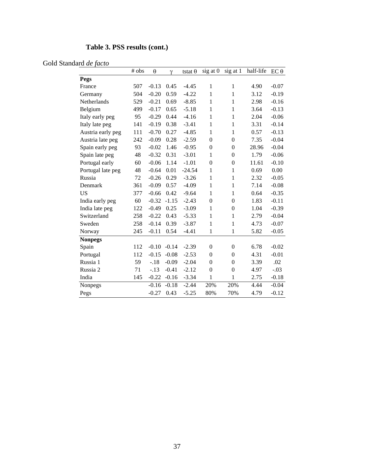## **Table 3. PSS results (cont.)**

## Gold Standard *de facto*

|                   | # obs | θ       | γ       | tstat $\theta$ | sig at 0         | sig at 1         | half-life | $EC \theta$ |
|-------------------|-------|---------|---------|----------------|------------------|------------------|-----------|-------------|
| Pegs              |       |         |         |                |                  |                  |           |             |
| France            | 507   | $-0.13$ | 0.45    | $-4.45$        | 1                | $\mathbf{1}$     | 4.90      | $-0.07$     |
| Germany           | 504   | $-0.20$ | 0.59    | $-4.22$        | $\mathbf{1}$     | $\mathbf{1}$     | 3.12      | $-0.19$     |
| Netherlands       | 529   | $-0.21$ | 0.69    | $-8.85$        | $\mathbf{1}$     | $\mathbf{1}$     | 2.98      | $-0.16$     |
| Belgium           | 499   | $-0.17$ | 0.65    | $-5.18$        | $\mathbf 1$      | $\mathbf{1}$     | 3.64      | $-0.13$     |
| Italy early peg   | 95    | $-0.29$ | 0.44    | $-4.16$        | $\mathbf{1}$     | $\mathbf{1}$     | 2.04      | $-0.06$     |
| Italy late peg    | 141   | $-0.19$ | 0.38    | $-3.41$        | $\mathbf 1$      | $\mathbf{1}$     | 3.31      | $-0.14$     |
| Austria early peg | 111   | $-0.70$ | 0.27    | $-4.85$        | $\mathbf{1}$     | $\mathbf{1}$     | 0.57      | $-0.13$     |
| Austria late peg  | 242   | $-0.09$ | 0.28    | $-2.59$        | $\boldsymbol{0}$ | $\boldsymbol{0}$ | 7.35      | $-0.04$     |
| Spain early peg   | 93    | $-0.02$ | 1.46    | $-0.95$        | $\boldsymbol{0}$ | $\boldsymbol{0}$ | 28.96     | $-0.04$     |
| Spain late peg    | 48    | $-0.32$ | 0.31    | $-3.01$        | $\mathbf{1}$     | $\boldsymbol{0}$ | 1.79      | $-0.06$     |
| Portugal early    | 60    | $-0.06$ | 1.14    | $-1.01$        | $\boldsymbol{0}$ | $\boldsymbol{0}$ | 11.61     | $-0.10$     |
| Portugal late peg | 48    | $-0.64$ | 0.01    | $-24.54$       | $\mathbf{1}$     | $\mathbf{1}$     | 0.69      | 0.00        |
| Russia            | 72    | $-0.26$ | 0.29    | $-3.26$        | $\mathbf 1$      | $\mathbf{1}$     | 2.32      | $-0.05$     |
| Denmark           | 361   | $-0.09$ | 0.57    | $-4.09$        | $\mathbf 1$      | $\mathbf{1}$     | 7.14      | $-0.08$     |
| <b>US</b>         | 377   | $-0.66$ | 0.42    | $-9.64$        | $\mathbf{1}$     | $\mathbf{1}$     | 0.64      | $-0.35$     |
| India early peg   | 60    | $-0.32$ | $-1.15$ | $-2.43$        | $\boldsymbol{0}$ | $\boldsymbol{0}$ | 1.83      | $-0.11$     |
| India late peg    | 122   | $-0.49$ | 0.25    | $-3.09$        | $\mathbf 1$      | $\boldsymbol{0}$ | 1.04      | $-0.39$     |
| Switzerland       | 258   | $-0.22$ | 0.43    | $-5.33$        | $\mathbf{1}$     | $\mathbf{1}$     | 2.79      | $-0.04$     |
| Sweden            | 258   | $-0.14$ | 0.39    | $-3.87$        | $\mathbf{1}$     | $\mathbf{1}$     | 4.73      | $-0.07$     |
| Norway            | 245   | $-0.11$ | 0.54    | $-4.41$        | 1                | $\mathbf{1}$     | 5.82      | $-0.05$     |
| <b>Nonpegs</b>    |       |         |         |                |                  |                  |           |             |
| Spain             | 112   | $-0.10$ | $-0.14$ | $-2.39$        | $\boldsymbol{0}$ | $\boldsymbol{0}$ | 6.78      | $-0.02$     |
| Portugal          | 112   | $-0.15$ | $-0.08$ | $-2.53$        | $\boldsymbol{0}$ | $\boldsymbol{0}$ | 4.31      | $-0.01$     |
| Russia 1          | 59    | $-.18$  | $-0.09$ | $-2.04$        | $\boldsymbol{0}$ | $\boldsymbol{0}$ | 3.39      | .02         |
| Russia 2          | 71    | $-.13$  | $-0.41$ | $-2.12$        | $\boldsymbol{0}$ | $\boldsymbol{0}$ | 4.97      | $-.03$      |
| India             | 145   | $-0.22$ | $-0.16$ | $-3.34$        | 1                | $\mathbf{1}$     | 2.75      | $-0.18$     |
| Nonpegs           |       | $-0.16$ | $-0.18$ | $-2.44$        | 20%              | 20%              | 4.44      | $-0.04$     |
| Pegs              |       | $-0.27$ | 0.43    | $-5.25$        | 80%              | 70%              | 4.79      | $-0.12$     |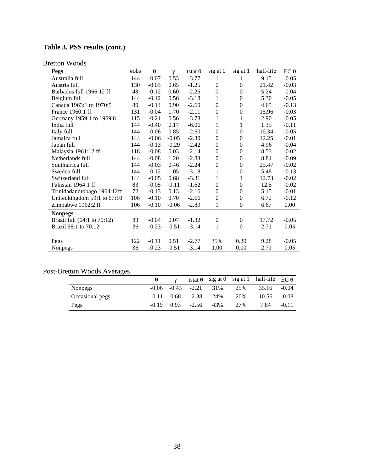## **Table 3. PSS results (cont.)**

| <b>Pegs</b>                 | #obs | $\theta$ | $\mathcal V$ | tstat $\theta$ | sig at 0         | sig at 1         | half-life | $EC \theta$ |
|-----------------------------|------|----------|--------------|----------------|------------------|------------------|-----------|-------------|
| Australia full              | 144  | $-0.07$  | 0.53         | $-3.77$        | 1                | 1                | 9.15      | $-0.05$     |
| Austria full                | 130  | $-0.03$  | 0.65         | $-1.25$        | $\boldsymbol{0}$ | $\theta$         | 21.42     | $-0.03$     |
| Barbados full 1966:12 ff    | 48   | $-0.12$  | 0.60         | $-2.25$        | $\boldsymbol{0}$ | $\boldsymbol{0}$ | 5.24      | $-0.04$     |
| Belgium full                | 144  | $-0.12$  | 0.56         | $-3.18$        | 1                | $\theta$         | 5.30      | $-0.05$     |
| Canada 1963:1 to 1970:5     | 89   | $-0.14$  | 0.90         | $-2.60$        | $\boldsymbol{0}$ | $\mathbf{0}$     | 4.65      | $-0.13$     |
| France 1960:1 ff            | 131  | $-0.04$  | 1.70         | $-2.11$        | $\boldsymbol{0}$ | $\boldsymbol{0}$ | 15.96     | $-0.03$     |
| Germany 1959:1 to 1969:8    | 115  | $-0.21$  | 0.56         | $-3.78$        | 1                | 1                | 2.90      | $-0.05$     |
| India full                  | 144  | $-0.40$  | 0.17         | $-6.06$        | 1                | $\mathbf 1$      | 1.35      | $-0.11$     |
| Italy full                  | 144  | $-0.06$  | 0.85         | $-2.60$        | $\boldsymbol{0}$ | $\boldsymbol{0}$ | 10.34     | $-0.05$     |
| Jamaica full                | 144  | $-0.06$  | $-0.05$      | $-2.30$        | $\boldsymbol{0}$ | $\theta$         | 12.25     | $-0.01$     |
| Japan full                  | 144  | $-0.13$  | $-0.29$      | $-2.42$        | $\boldsymbol{0}$ | $\boldsymbol{0}$ | 4.96      | $-0.04$     |
| Malaysia 1961:12 ff         | 118  | $-0.08$  | 0.03         | $-2.14$        | $\boldsymbol{0}$ | $\theta$         | 8.53      | $-0.02$     |
| Netherlands full            | 144  | $-0.08$  | 1.20         | $-2.83$        | $\boldsymbol{0}$ | $\mathbf{0}$     | 8.84      | $-0.09$     |
| Southafrica full            | 144  | $-0.03$  | 0.46         | $-2.24$        | $\boldsymbol{0}$ | $\boldsymbol{0}$ | 25.47     | $-0.02$     |
| Sweden full                 | 144  | $-0.12$  | 1.05         | $-3.18$        | $\mathbf{1}$     | $\overline{0}$   | 5.48      | $-0.13$     |
| Switzerland full            | 144  | $-0.05$  | 0.68         | $-3.31$        | $\mathbf{1}$     | 1                | 12.73     | $-0.02$     |
| Pakistan 1964:1 ff          | 83   | $-0.05$  | $-0.11$      | $-1.62$        | $\boldsymbol{0}$ | $\boldsymbol{0}$ | 12.5      | $-0.02$     |
| Trinidadandtobago 1964:12ff | 72   | $-0.13$  | 0.13         | $-2.16$        | $\boldsymbol{0}$ | $\theta$         | 5.15      | $-0.01$     |
| Unitedkingdom 59:1 to 67:10 | 106  | $-0.10$  | 0.70         | $-2.66$        | $\boldsymbol{0}$ | $\theta$         | 6.72      | $-0.12$     |
| Zimbabwe 1962:2 ff          | 106  | $-0.10$  | $-0.06$      | $-2.89$        | 1                | $\boldsymbol{0}$ | 6.67      | 0.00        |
| <b>Nonpegs</b>              |      |          |              |                |                  |                  |           |             |
| Brazil full (64:1 to 70:12) | 83   | $-0.04$  | 0.07         | $-1.32$        | $\boldsymbol{0}$ | $\boldsymbol{0}$ | 17.72     | $-0.05$     |
| Brazil 68:1 to 70:12        | 36   | $-0.23$  | $-0.51$      | $-3.14$        | 1                | $\theta$         | 2.71      | 0.05        |
|                             |      |          |              |                |                  |                  |           |             |
| Pegs                        | 122  | $-0.11$  | 0.51         | $-2.77$        | 35%              | 0.20             | 9.28      | $-0.05$     |
| Nonpegs                     | 36   | $-0.23$  | $-0.51$      | $-3.14$        | 1.00             | 0.00             | 2.71      | 0.05        |

## Post-Bretton Woods Averages

|                 |         |      |                |     |     | tstat $\theta$ sig at 0 sig at 1 half-life EC $\theta$ |         |
|-----------------|---------|------|----------------|-----|-----|--------------------------------------------------------|---------|
| <b>Nonpegs</b>  | $-0.06$ |      | $-0.43 - 2.21$ | 31% | 25% | 35.16                                                  | $-0.04$ |
| Occasional pegs | $-0.11$ |      | $0.68 - 2.38$  | 24% | 20% | 10.56                                                  | $-0.08$ |
| Pegs            | $-0.19$ | 0.93 | $-2.56$        | 43% | 27% | 7.84                                                   | $-0.11$ |